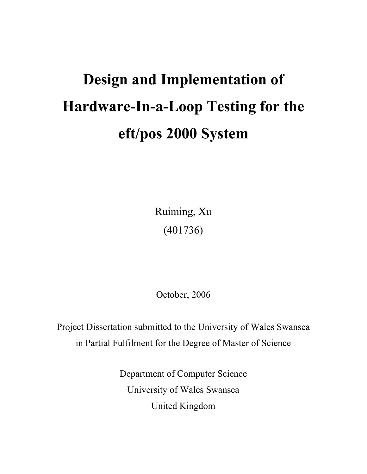# **Design and Implementation of Hardware-In-a-Loop Testing for the eft/pos 2000 System**

Ruiming, Xu (401736)

October, 2006

Project Dissertation submitted to the University of Wales Swansea in Partial Fulfilment for the Degree of Master of Science

> Department of Computer Science University of Wales Swansea United Kingdom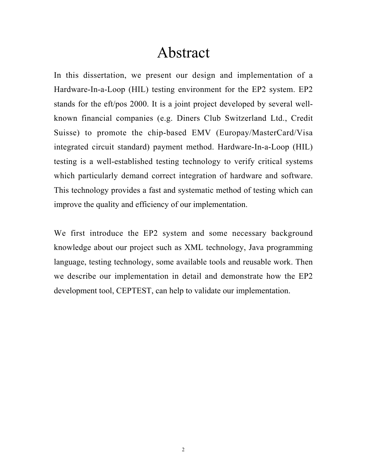# Abstract

In this dissertation, we present our design and implementation of a Hardware-In-a-Loop (HIL) testing environment for the EP2 system. EP2 stands for the eft/pos 2000. It is a joint project developed by several wellknown financial companies (e.g. Diners Club Switzerland Ltd., Credit Suisse) to promote the chip-based EMV (Europay/MasterCard/Visa integrated circuit standard) payment method. Hardware-In-a-Loop (HIL) testing is a well-established testing technology to verify critical systems which particularly demand correct integration of hardware and software. This technology provides a fast and systematic method of testing which can improve the quality and efficiency of our implementation.

We first introduce the EP2 system and some necessary background knowledge about our project such as XML technology, Java programming language, testing technology, some available tools and reusable work. Then we describe our implementation in detail and demonstrate how the EP2 development tool, CEPTEST, can help to validate our implementation.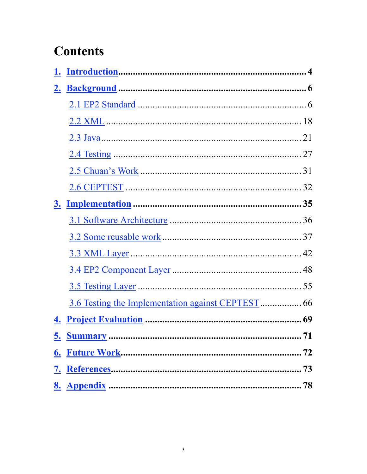# **Contents**

| 4.        |  |
|-----------|--|
| <u>5.</u> |  |
| 6.        |  |
| <u>7.</u> |  |
|           |  |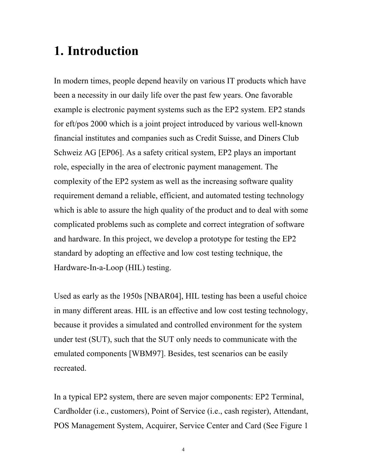### **1. Introduction**

In modern times, people depend heavily on various IT products which have been a necessity in our daily life over the past few years. One favorable example is electronic payment systems such as the EP2 system. EP2 stands for eft/pos 2000 which is a joint project introduced by various well-known financial institutes and companies such as Credit Suisse, and Diners Club Schweiz AG [EP06]. As a safety critical system, EP2 plays an important role, especially in the area of electronic payment management. The complexity of the EP2 system as well as the increasing software quality requirement demand a reliable, efficient, and automated testing technology which is able to assure the high quality of the product and to deal with some complicated problems such as complete and correct integration of software and hardware. In this project, we develop a prototype for testing the EP2 standard by adopting an effective and low cost testing technique, the Hardware-In-a-Loop (HIL) testing.

Used as early as the 1950s [NBAR04], HIL testing has been a useful choice in many different areas. HIL is an effective and low cost testing technology, because it provides a simulated and controlled environment for the system under test (SUT), such that the SUT only needs to communicate with the emulated components [WBM97]. Besides, test scenarios can be easily recreated.

In a typical EP2 system, there are seven major components: EP2 Terminal, Cardholder (i.e., customers), Point of Service (i.e., cash register), Attendant, POS Management System, Acquirer, Service Center and Card (See Figure 1

4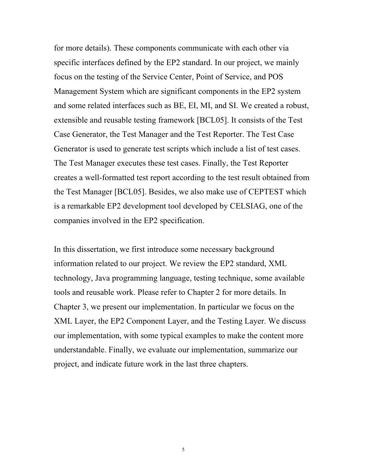for more details). These components communicate with each other via specific interfaces defined by the EP2 standard. In our project, we mainly focus on the testing of the Service Center, Point of Service, and POS Management System which are significant components in the EP2 system and some related interfaces such as BE, EI, MI, and SI. We created a robust, extensible and reusable testing framework [BCL05]. It consists of the Test Case Generator, the Test Manager and the Test Reporter. The Test Case Generator is used to generate test scripts which include a list of test cases. The Test Manager executes these test cases. Finally, the Test Reporter creates a well-formatted test report according to the test result obtained from the Test Manager [BCL05]. Besides, we also make use of CEPTEST which is a remarkable EP2 development tool developed by CELSIAG, one of the companies involved in the EP2 specification.

In this dissertation, we first introduce some necessary background information related to our project. We review the EP2 standard, XML technology, Java programming language, testing technique, some available tools and reusable work. Please refer to Chapter 2 for more details. In Chapter 3, we present our implementation. In particular we focus on the XML Layer, the EP2 Component Layer, and the Testing Layer. We discuss our implementation, with some typical examples to make the content more understandable. Finally, we evaluate our implementation, summarize our project, and indicate future work in the last three chapters.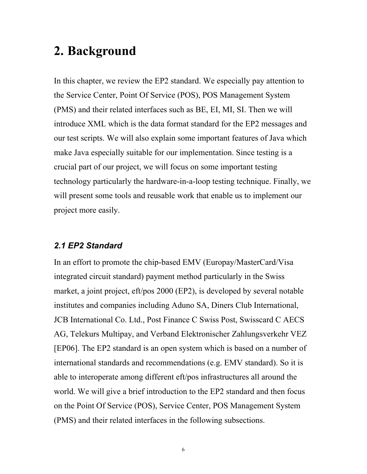### **2. Background**

In this chapter, we review the EP2 standard. We especially pay attention to the Service Center, Point Of Service (POS), POS Management System (PMS) and their related interfaces such as BE, EI, MI, SI. Then we will introduce XML which is the data format standard for the EP2 messages and our test scripts. We will also explain some important features of Java which make Java especially suitable for our implementation. Since testing is a crucial part of our project, we will focus on some important testing technology particularly the hardware-in-a-loop testing technique. Finally, we will present some tools and reusable work that enable us to implement our project more easily.

#### *2.1 EP2 Standard*

In an effort to promote the chip-based EMV (Europay/MasterCard/Visa integrated circuit standard) payment method particularly in the Swiss market, a joint project, eft/pos 2000 (EP2), is developed by several notable institutes and companies including Aduno SA, Diners Club International, JCB International Co. Ltd., Post Finance C Swiss Post, Swisscard C AECS AG, Telekurs Multipay, and Verband Elektronischer Zahlungsverkehr VEZ [EP06]. The EP2 standard is an open system which is based on a number of international standards and recommendations (e.g. EMV standard). So it is able to interoperate among different eft/pos infrastructures all around the world. We will give a brief introduction to the EP2 standard and then focus on the Point Of Service (POS), Service Center, POS Management System (PMS) and their related interfaces in the following subsections.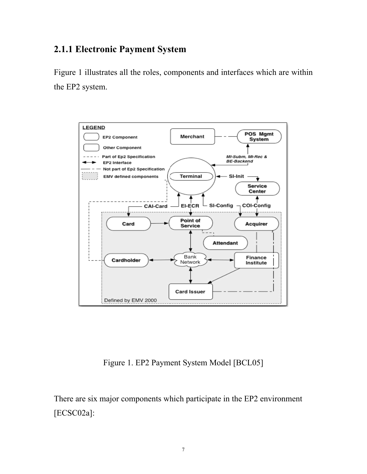#### **2.1.1 Electronic Payment System**

Figure 1 illustrates all the roles, components and interfaces which are within the EP2 system.



Figure 1. EP2 Payment System Model [BCL05]

There are six major components which participate in the EP2 environment [ECSC02a]: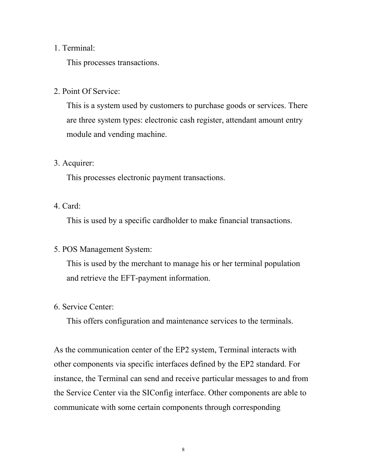#### 1. Terminal:

This processes transactions.

2. Point Of Service:

This is a system used by customers to purchase goods or services. There are three system types: electronic cash register, attendant amount entry module and vending machine.

#### 3. Acquirer:

This processes electronic payment transactions.

#### 4. Card:

This is used by a specific cardholder to make financial transactions.

#### 5. POS Management System:

This is used by the merchant to manage his or her terminal population and retrieve the EFT-payment information.

#### 6. Service Center:

This offers configuration and maintenance services to the terminals.

As the communication center of the EP2 system, Terminal interacts with other components via specific interfaces defined by the EP2 standard. For instance, the Terminal can send and receive particular messages to and from the Service Center via the SIConfig interface. Other components are able to communicate with some certain components through corresponding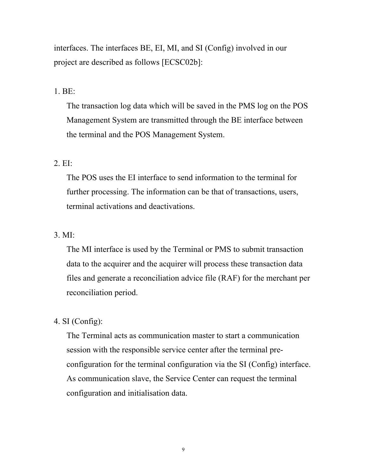interfaces. The interfaces BE, EI, MI, and SI (Config) involved in our project are described as follows [ECSC02b]:

#### 1. BE:

The transaction log data which will be saved in the PMS log on the POS Management System are transmitted through the BE interface between the terminal and the POS Management System.

#### 2. EI:

The POS uses the EI interface to send information to the terminal for further processing. The information can be that of transactions, users, terminal activations and deactivations.

#### 3. MI:

The MI interface is used by the Terminal or PMS to submit transaction data to the acquirer and the acquirer will process these transaction data files and generate a reconciliation advice file (RAF) for the merchant per reconciliation period.

#### 4. SI (Config):

The Terminal acts as communication master to start a communication session with the responsible service center after the terminal preconfiguration for the terminal configuration via the SI (Config) interface. As communication slave, the Service Center can request the terminal configuration and initialisation data.

9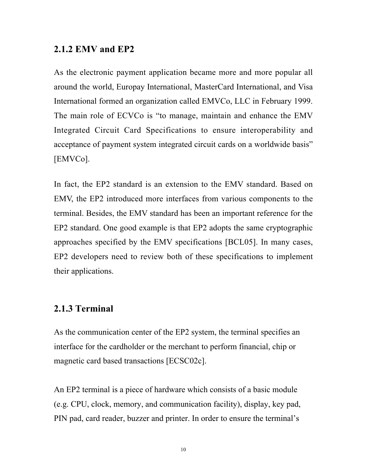#### **2.1.2 EMV and EP2**

As the electronic payment application became more and more popular all around the world, Europay International, MasterCard International, and Visa International formed an organization called EMVCo, LLC in February 1999. The main role of ECVCo is "to manage, maintain and enhance the EMV Integrated Circuit Card Specifications to ensure interoperability and acceptance of payment system integrated circuit cards on a worldwide basis" [EMVCo].

In fact, the EP2 standard is an extension to the EMV standard. Based on EMV, the EP2 introduced more interfaces from various components to the terminal. Besides, the EMV standard has been an important reference for the EP2 standard. One good example is that EP2 adopts the same cryptographic approaches specified by the EMV specifications [BCL05]. In many cases, EP2 developers need to review both of these specifications to implement their applications.

#### **2.1.3 Terminal**

As the communication center of the EP2 system, the terminal specifies an interface for the cardholder or the merchant to perform financial, chip or magnetic card based transactions [ECSC02c].

An EP2 terminal is a piece of hardware which consists of a basic module (e.g. CPU, clock, memory, and communication facility), display, key pad, PIN pad, card reader, buzzer and printer. In order to ensure the terminal's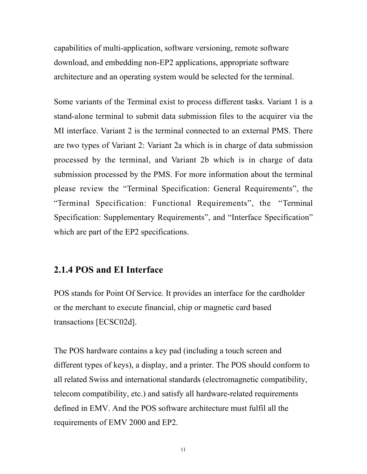capabilities of multi-application, software versioning, remote software download, and embedding non-EP2 applications, appropriate software architecture and an operating system would be selected for the terminal.

Some variants of the Terminal exist to process different tasks. Variant 1 is a stand-alone terminal to submit data submission files to the acquirer via the MI interface. Variant 2 is the terminal connected to an external PMS. There are two types of Variant 2: Variant 2a which is in charge of data submission processed by the terminal, and Variant 2b which is in charge of data submission processed by the PMS. For more information about the terminal please review the "Terminal Specification: General Requirements", the "Terminal Specification: Functional Requirements", the "Terminal Specification: Supplementary Requirements", and "Interface Specification" which are part of the EP2 specifications.

#### **2.1.4 POS and EI Interface**

POS stands for Point Of Service. It provides an interface for the cardholder or the merchant to execute financial, chip or magnetic card based transactions [ECSC02d].

The POS hardware contains a key pad (including a touch screen and different types of keys), a display, and a printer. The POS should conform to all related Swiss and international standards (electromagnetic compatibility, telecom compatibility, etc.) and satisfy all hardware-related requirements defined in EMV. And the POS software architecture must fulfil all the requirements of EMV 2000 and EP2.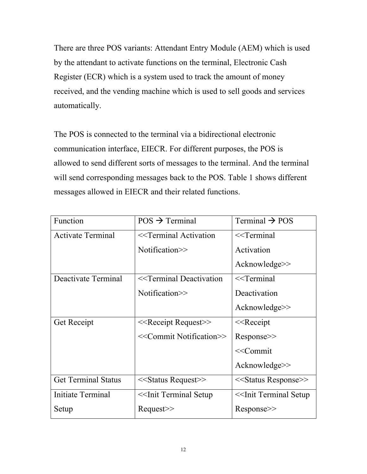There are three POS variants: Attendant Entry Module (AEM) which is used by the attendant to activate functions on the terminal, Electronic Cash Register (ECR) which is a system used to track the amount of money received, and the vending machine which is used to sell goods and services automatically.

The POS is connected to the terminal via a bidirectional electronic communication interface, EIECR. For different purposes, the POS is allowed to send different sorts of messages to the terminal. And the terminal will send corresponding messages back to the POS. Table 1 shows different messages allowed in EIECR and their related functions.

| Function                   | $POS \rightarrow Terminal$                                                                        | Terminal $\rightarrow$ POS                  |
|----------------------------|---------------------------------------------------------------------------------------------------|---------------------------------------------|
| <b>Activate Terminal</b>   | < <terminal activation<="" td=""><td><math>&lt;&lt;</math>Terminal</td></terminal>                | $<<$ Terminal                               |
|                            | Notification>>                                                                                    | Activation                                  |
|                            |                                                                                                   | $Acknowledge \ge$                           |
| Deactivate Terminal        | < <terminal deactivation<="" td=""><td><math>&lt;&lt;</math>Terminal</td></terminal>              | $<<$ Terminal                               |
|                            | Notification>>                                                                                    | Deactivation                                |
|                            |                                                                                                   | $Acknowledge \ge$                           |
| <b>Get Receipt</b>         | $<<$ Receipt Request $>>$                                                                         | $<<$ Receipt                                |
|                            | < <commit notification="">&gt;</commit>                                                           | Response>>                                  |
|                            |                                                                                                   | < <commit< td=""></commit<>                 |
|                            |                                                                                                   | $Acknowledge \ge$                           |
| <b>Get Terminal Status</b> | $<<$ Status Request $>>$                                                                          | < <status response="">&gt;</status>         |
| Initiate Terminal          | < <init setup<="" td="" terminal=""><td>&lt;<init setup<="" td="" terminal=""></init></td></init> | < <init setup<="" td="" terminal=""></init> |
| Setup                      | $Request \geq$                                                                                    | Response                                    |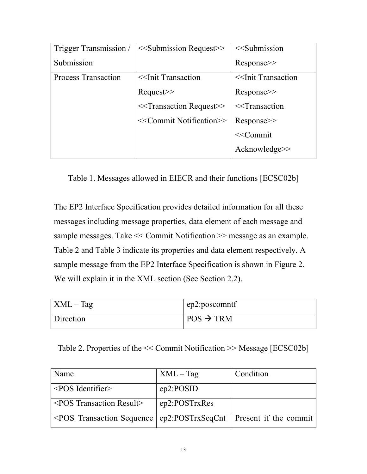| Trigger Transmission /     | $<<$ Submission Request $>>$            | $<<$ Submission                       |
|----------------------------|-----------------------------------------|---------------------------------------|
| Submission                 |                                         | Response                              |
| <b>Process Transaction</b> | $\le$ Init Transaction                  | < <init td="" transaction<=""></init> |
|                            | $Request \geq$                          | Response>>                            |
|                            | $<<$ Transaction Request $>>$           | $<<$ Transaction                      |
|                            | < <commit notification="">&gt;</commit> | Response                              |
|                            |                                         | $<<$ Commit                           |
|                            |                                         | Acknowledge                           |

Table 1. Messages allowed in EIECR and their functions [ECSC02b]

The EP2 Interface Specification provides detailed information for all these messages including message properties, data element of each message and sample messages. Take << Commit Notification >> message as an example. Table 2 and Table 3 indicate its properties and data element respectively. A sample message from the EP2 Interface Specification is shown in Figure 2. We will explain it in the XML section (See Section 2.2).

| $XML - Tag$ | ep2:poscomntf         |
|-------------|-----------------------|
| Direction   | $POS \rightarrow TRM$ |

Table 2. Properties of the << Commit Notification >> Message [ECSC02b]

| Name                                                                       | $XML - Tag$   | Condition |
|----------------------------------------------------------------------------|---------------|-----------|
| $\langle$ POS Identifier>                                                  | ep2:POSID     |           |
| $\leq$ POS Transaction Result>                                             | ep2:POSTrxRes |           |
| $\leq$ POS Transaction Sequence   ep2:POSTrxSeqCnt   Present if the commit |               |           |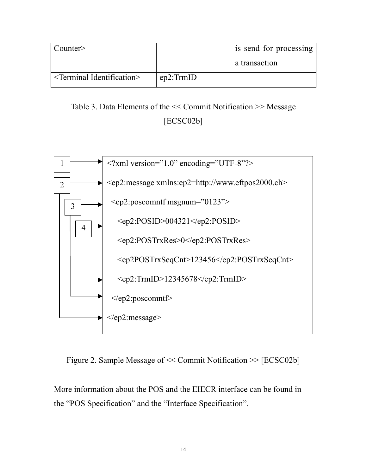| Counter                             |           | is send for processing |
|-------------------------------------|-----------|------------------------|
|                                     |           | a transaction          |
| $\le$ Terminal Identification $\ge$ | ep2:TrmID |                        |

Table 3. Data Elements of the << Commit Notification >> Message [ECSC02b]



Figure 2. Sample Message of << Commit Notification >> [ECSC02b]

More information about the POS and the EIECR interface can be found in the "POS Specification" and the "Interface Specification".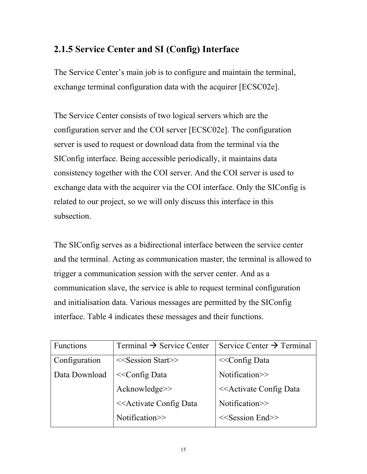#### **2.1.5 Service Center and SI (Config) Interface**

The Service Center's main job is to configure and maintain the terminal, exchange terminal configuration data with the acquirer [ECSC02e].

The Service Center consists of two logical servers which are the configuration server and the COI server [ECSC02e]. The configuration server is used to request or download data from the terminal via the SIConfig interface. Being accessible periodically, it maintains data consistency together with the COI server. And the COI server is used to exchange data with the acquirer via the COI interface. Only the SIConfig is related to our project, so we will only discuss this interface in this subsection.

The SIConfig serves as a bidirectional interface between the service center and the terminal. Acting as communication master, the terminal is allowed to trigger a communication session with the server center. And as a communication slave, the service is able to request terminal configuration and initialisation data. Various messages are permitted by the SIConfig interface. Table 4 indicates these messages and their functions.

| Functions     | Terminal $\rightarrow$ Service Center                                         | Service Center $\rightarrow$ Terminal            |
|---------------|-------------------------------------------------------------------------------|--------------------------------------------------|
| Configuration | $<<$ Session Start>>                                                          | $<<$ Config Data                                 |
| Data Download | $<<$ Config Data                                                              | Notification>>                                   |
|               | Acknowledge>>                                                                 | < <activate config="" data<="" td=""></activate> |
|               | < <activate config="" data<="" td=""><td>Notification&gt;&gt;</td></activate> | Notification>>                                   |
|               | Notification>>                                                                | $<<$ Session End $>>$                            |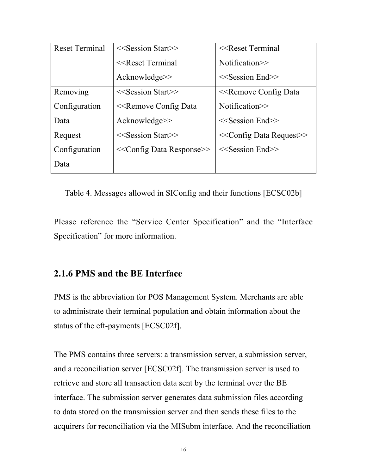| <b>Reset Terminal</b> | $<<$ Session Start>>                                                      | $<<$ Reset Terminal                          |
|-----------------------|---------------------------------------------------------------------------|----------------------------------------------|
|                       | $<<$ Reset Terminal                                                       | Notification>>                               |
|                       | $Acknowledge \ge$                                                         | $<<$ Session End $>>$                        |
| Removing              | $<<$ Session Start>>                                                      | < <remove config="" data<="" td=""></remove> |
| Configuration         | < <remove config="" data<="" td=""><td>Notification&gt;&gt;</td></remove> | Notification>>                               |
| Data                  | $Acknowledge \ge$                                                         | $<<$ Session End $>>$                        |
| Request               | < <session start="">&gt;</session>                                        | $<<$ Config Data Request $>>$                |
| Configuration         | < <config data="" response="">&gt;</config>                               | $<<$ Session End $>>$                        |
| Data                  |                                                                           |                                              |

Table 4. Messages allowed in SIConfig and their functions [ECSC02b]

Please reference the "Service Center Specification" and the "Interface Specification" for more information.

#### **2.1.6 PMS and the BE Interface**

PMS is the abbreviation for POS Management System. Merchants are able to administrate their terminal population and obtain information about the status of the eft-payments [ECSC02f].

The PMS contains three servers: a transmission server, a submission server, and a reconciliation server [ECSC02f]. The transmission server is used to retrieve and store all transaction data sent by the terminal over the BE interface. The submission server generates data submission files according to data stored on the transmission server and then sends these files to the acquirers for reconciliation via the MISubm interface. And the reconciliation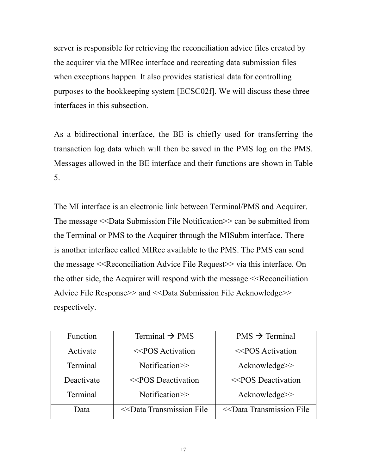server is responsible for retrieving the reconciliation advice files created by the acquirer via the MIRec interface and recreating data submission files when exceptions happen. It also provides statistical data for controlling purposes to the bookkeeping system [ECSC02f]. We will discuss these three interfaces in this subsection.

As a bidirectional interface, the BE is chiefly used for transferring the transaction log data which will then be saved in the PMS log on the PMS. Messages allowed in the BE interface and their functions are shown in Table 5.

The MI interface is an electronic link between Terminal/PMS and Acquirer. The message <<Data Submission File Notification>> can be submitted from the Terminal or PMS to the Acquirer through the MISubm interface. There is another interface called MIRec available to the PMS. The PMS can send the message <<Reconciliation Advice File Request>> via this interface. On the other side, the Acquirer will respond with the message  $\leq$ Reconciliation Advice File Response>> and <<Data Submission File Acknowledge>> respectively.

| Function   | Terminal $\rightarrow$ PMS                                                                              | $PMS \rightarrow Terminal$                     |
|------------|---------------------------------------------------------------------------------------------------------|------------------------------------------------|
| Activate   | <<br><b>POS Activation</b>                                                                              | <<br>POS Activation                            |
| Terminal   | Notification >>                                                                                         | Acknowledge>>                                  |
| Deactivate | <<br>POS Deactivation                                                                                   | <<br>POS Deactivation                          |
| Terminal   | Notification >>                                                                                         | Acknowledge>>                                  |
| Data       | < <data file<="" td="" transmission=""><td>&lt;<data file<="" td="" transmission=""></data></td></data> | < <data file<="" td="" transmission=""></data> |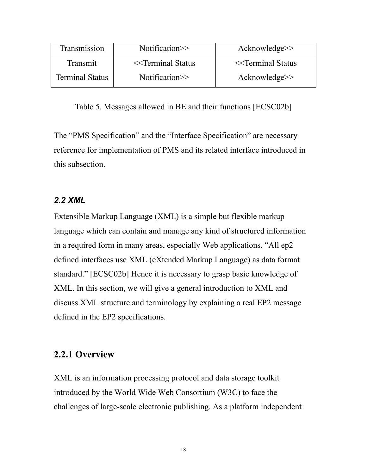| Transmission           | Notification >>      | $Acknowledge \ge$    |
|------------------------|----------------------|----------------------|
| Transmit               | $<<$ Terminal Status | $<<$ Terminal Status |
| <b>Terminal Status</b> | Notification $\gg$   | $Acknowledge \ge$    |

Table 5. Messages allowed in BE and their functions [ECSC02b]

The "PMS Specification" and the "Interface Specification" are necessary reference for implementation of PMS and its related interface introduced in this subsection.

#### *2.2 XML*

Extensible Markup Language (XML) is a simple but flexible markup language which can contain and manage any kind of structured information in a required form in many areas, especially Web applications. "All ep2 defined interfaces use XML (eXtended Markup Language) as data format standard." [ECSC02b] Hence it is necessary to grasp basic knowledge of XML. In this section, we will give a general introduction to XML and discuss XML structure and terminology by explaining a real EP2 message defined in the EP2 specifications.

#### **2.2.1 Overview**

XML is an information processing protocol and data storage toolkit introduced by the World Wide Web Consortium (W3C) to face the challenges of large-scale electronic publishing. As a platform independent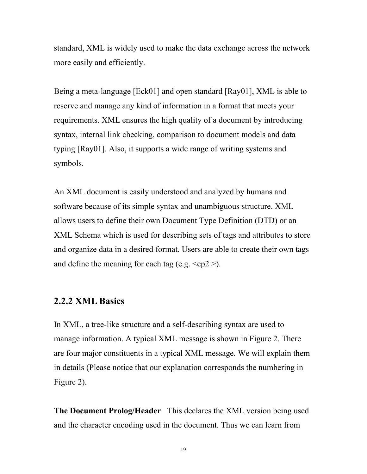standard, XML is widely used to make the data exchange across the network more easily and efficiently.

Being a meta-language [Eck01] and open standard [Ray01], XML is able to reserve and manage any kind of information in a format that meets your requirements. XML ensures the high quality of a document by introducing syntax, internal link checking, comparison to document models and data typing [Ray01]. Also, it supports a wide range of writing systems and symbols.

An XML document is easily understood and analyzed by humans and software because of its simple syntax and unambiguous structure. XML allows users to define their own Document Type Definition (DTD) or an XML Schema which is used for describing sets of tags and attributes to store and organize data in a desired format. Users are able to create their own tags and define the meaning for each tag (e.g.  $\langle ep2 \rangle$ ).

#### **2.2.2 XML Basics**

In XML, a tree-like structure and a self-describing syntax are used to manage information. A typical XML message is shown in Figure 2. There are four major constituents in a typical XML message. We will explain them in details (Please notice that our explanation corresponds the numbering in Figure 2).

**The Document Prolog/Header** This declares the XML version being used and the character encoding used in the document. Thus we can learn from

19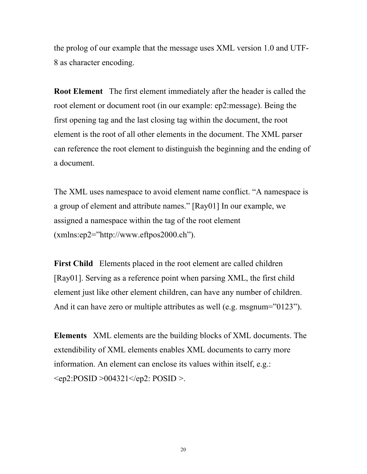the prolog of our example that the message uses XML version 1.0 and UTF-8 as character encoding.

**Root Element** The first element immediately after the header is called the root element or document root (in our example: ep2:message). Being the first opening tag and the last closing tag within the document, the root element is the root of all other elements in the document. The XML parser can reference the root element to distinguish the beginning and the ending of a document.

The XML uses namespace to avoid element name conflict. "A namespace is a group of element and attribute names." [Ray01] In our example, we assigned a namespace within the tag of the root element (xmlns:ep2="http://www.eftpos2000.ch").

**First Child** Elements placed in the root element are called children [Ray01]. Serving as a reference point when parsing XML, the first child element just like other element children, can have any number of children. And it can have zero or multiple attributes as well (e.g. msgnum="0123").

**Elements** XML elements are the building blocks of XML documents. The extendibility of XML elements enables XML documents to carry more information. An element can enclose its values within itself, e.g.: <ep2:POSID >004321</ep2: POSID >.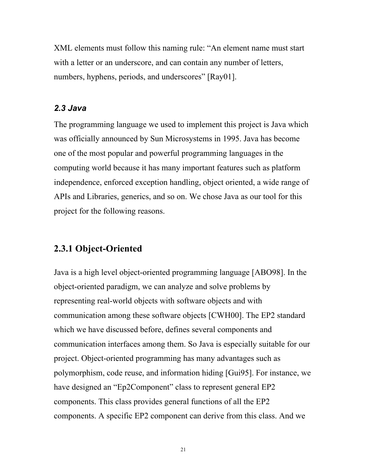XML elements must follow this naming rule: "An element name must start with a letter or an underscore, and can contain any number of letters, numbers, hyphens, periods, and underscores" [Ray01].

#### *2.3 Java*

The programming language we used to implement this project is Java which was officially announced by Sun Microsystems in 1995. Java has become one of the most popular and powerful programming languages in the computing world because it has many important features such as platform independence, enforced exception handling, object oriented, a wide range of APIs and Libraries, generics, and so on. We chose Java as our tool for this project for the following reasons.

#### **2.3.1 Object-Oriented**

Java is a high level object-oriented programming language [ABO98]. In the object-oriented paradigm, we can analyze and solve problems by representing real-world objects with software objects and with communication among these software objects [CWH00]. The EP2 standard which we have discussed before, defines several components and communication interfaces among them. So Java is especially suitable for our project. Object-oriented programming has many advantages such as polymorphism, code reuse, and information hiding [Gui95]. For instance, we have designed an "Ep2Component" class to represent general EP2 components. This class provides general functions of all the EP2 components. A specific EP2 component can derive from this class. And we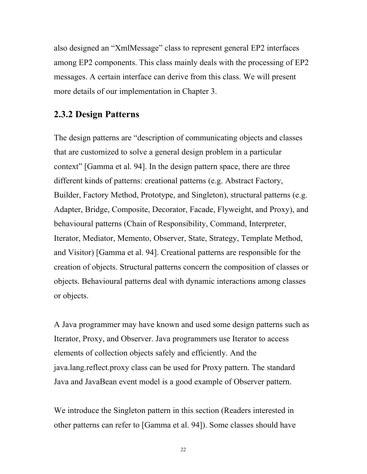also designed an "XmlMessage" class to represent general EP2 interfaces among EP2 components. This class mainly deals with the processing of EP2 messages. A certain interface can derive from this class. We will present more details of our implementation in Chapter 3.

#### **2.3.2 Design Patterns**

The design patterns are "description of communicating objects and classes that are customized to solve a general design problem in a particular context" [Gamma et al. 94]. In the design pattern space, there are three different kinds of patterns: creational patterns (e.g. Abstract Factory, Builder, Factory Method, Prototype, and Singleton), structural patterns (e.g. Adapter, Bridge, Composite, Decorator, Facade, Flyweight, and Proxy), and behavioural patterns (Chain of Responsibility, Command, Interpreter, Iterator, Mediator, Memento, Observer, State, Strategy, Template Method, and Visitor) [Gamma et al. 94]. Creational patterns are responsible for the creation of objects. Structural patterns concern the composition of classes or objects. Behavioural patterns deal with dynamic interactions among classes or objects.

A Java programmer may have known and used some design patterns such as Iterator, Proxy, and Observer. Java programmers use Iterator to access elements of collection objects safely and efficiently. And the java.lang.reflect.proxy class can be used for Proxy pattern. The standard Java and JavaBean event model is a good example of Observer pattern.

We introduce the Singleton pattern in this section (Readers interested in other patterns can refer to [Gamma et al. 94]). Some classes should have

22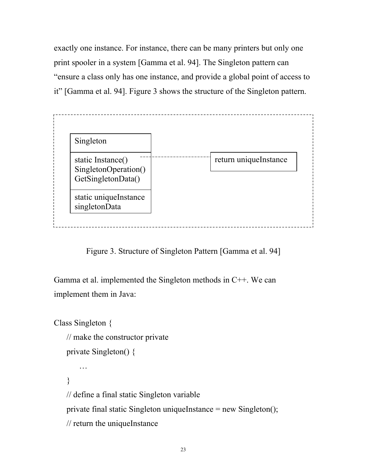exactly one instance. For instance, there can be many printers but only one print spooler in a system [Gamma et al. 94]. The Singleton pattern can "ensure a class only has one instance, and provide a global point of access to it" [Gamma et al. 94]. Figure 3 shows the structure of the Singleton pattern.



Figure 3. Structure of Singleton Pattern [Gamma et al. 94]

Gamma et al. implemented the Singleton methods in C++. We can implement them in Java:

Class Singleton { // make the constructor private private Singleton() { … } // define a final static Singleton variable private final static Singleton uniqueInstance = new Singleton(); // return the uniqueInstance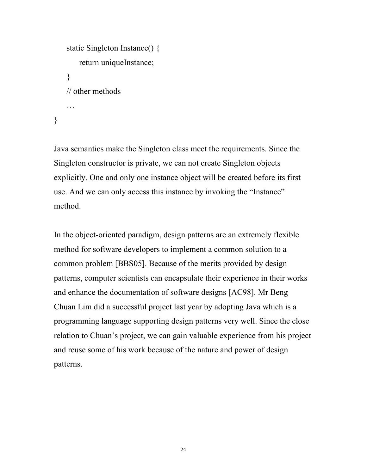```
static Singleton Instance() {
       return uniqueInstance;
    }
   // other methods
    …
}
```
Java semantics make the Singleton class meet the requirements. Since the Singleton constructor is private, we can not create Singleton objects explicitly. One and only one instance object will be created before its first use. And we can only access this instance by invoking the "Instance" method.

In the object-oriented paradigm, design patterns are an extremely flexible method for software developers to implement a common solution to a common problem [BBS05]. Because of the merits provided by design patterns, computer scientists can encapsulate their experience in their works and enhance the documentation of software designs [AC98]. Mr Beng Chuan Lim did a successful project last year by adopting Java which is a programming language supporting design patterns very well. Since the close relation to Chuan's project, we can gain valuable experience from his project and reuse some of his work because of the nature and power of design patterns.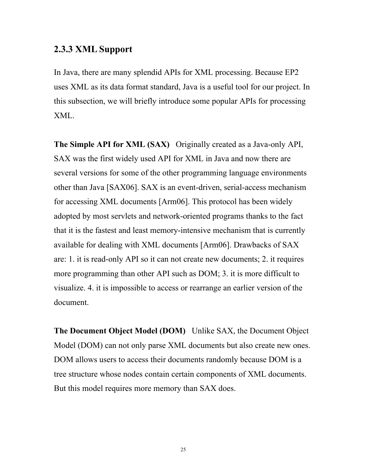#### **2.3.3 XML Support**

In Java, there are many splendid APIs for XML processing. Because EP2 uses XML as its data format standard, Java is a useful tool for our project. In this subsection, we will briefly introduce some popular APIs for processing XML.

**The Simple API for XML (SAX)** Originally created as a Java-only API, SAX was the first widely used API for XML in Java and now there are several versions for some of the other programming language environments other than Java [SAX06]. SAX is an event-driven, serial-access mechanism for accessing XML documents [Arm06]. This protocol has been widely adopted by most servlets and network-oriented programs thanks to the fact that it is the fastest and least memory-intensive mechanism that is currently available for dealing with XML documents [Arm06]. Drawbacks of SAX are: 1. it is read-only API so it can not create new documents; 2. it requires more programming than other API such as DOM; 3. it is more difficult to visualize. 4. it is impossible to access or rearrange an earlier version of the document.

**The Document Object Model (DOM)** Unlike SAX, the Document Object Model (DOM) can not only parse XML documents but also create new ones. DOM allows users to access their documents randomly because DOM is a tree structure whose nodes contain certain components of XML documents. But this model requires more memory than SAX does.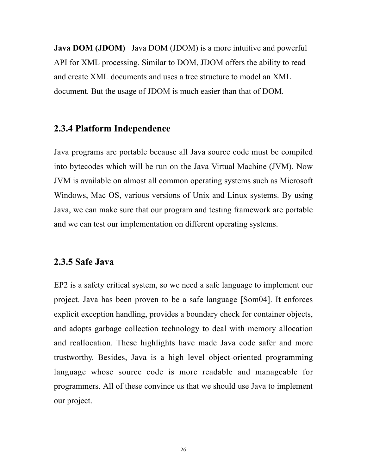**Java DOM (JDOM)** Java DOM (JDOM) is a more intuitive and powerful API for XML processing. Similar to DOM, JDOM offers the ability to read and create XML documents and uses a tree structure to model an XML document. But the usage of JDOM is much easier than that of DOM.

#### **2.3.4 Platform Independence**

Java programs are portable because all Java source code must be compiled into bytecodes which will be run on the Java Virtual Machine (JVM). Now JVM is available on almost all common operating systems such as Microsoft Windows, Mac OS, various versions of Unix and Linux systems. By using Java, we can make sure that our program and testing framework are portable and we can test our implementation on different operating systems.

#### **2.3.5 Safe Java**

EP2 is a safety critical system, so we need a safe language to implement our project. Java has been proven to be a safe language [Som04]. It enforces explicit exception handling, provides a boundary check for container objects, and adopts garbage collection technology to deal with memory allocation and reallocation. These highlights have made Java code safer and more trustworthy. Besides, Java is a high level object-oriented programming language whose source code is more readable and manageable for programmers. All of these convince us that we should use Java to implement our project.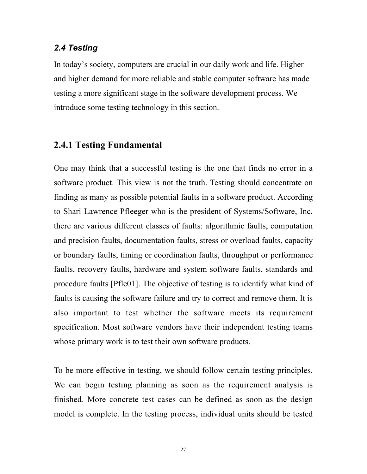#### *2.4 Testing*

In today's society, computers are crucial in our daily work and life. Higher and higher demand for more reliable and stable computer software has made testing a more significant stage in the software development process. We introduce some testing technology in this section.

#### **2.4.1 Testing Fundamental**

One may think that a successful testing is the one that finds no error in a software product. This view is not the truth. Testing should concentrate on finding as many as possible potential faults in a software product. According to Shari Lawrence Pfleeger who is the president of Systems/Software, Inc, there are various different classes of faults: algorithmic faults, computation and precision faults, documentation faults, stress or overload faults, capacity or boundary faults, timing or coordination faults, throughput or performance faults, recovery faults, hardware and system software faults, standards and procedure faults [Pfle01]. The objective of testing is to identify what kind of faults is causing the software failure and try to correct and remove them. It is also important to test whether the software meets its requirement specification. Most software vendors have their independent testing teams whose primary work is to test their own software products.

To be more effective in testing, we should follow certain testing principles. We can begin testing planning as soon as the requirement analysis is finished. More concrete test cases can be defined as soon as the design model is complete. In the testing process, individual units should be tested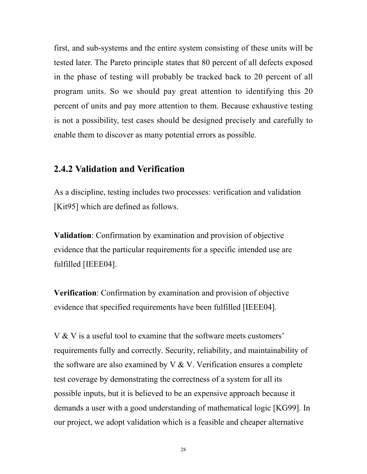first, and sub-systems and the entire system consisting of these units will be tested later. The Pareto principle states that 80 percent of all defects exposed in the phase of testing will probably be tracked back to 20 percent of all program units. So we should pay great attention to identifying this 20 percent of units and pay more attention to them. Because exhaustive testing is not a possibility, test cases should be designed precisely and carefully to enable them to discover as many potential errors as possible.

#### **2.4.2 Validation and Verification**

As a discipline, testing includes two processes: verification and validation [Kit95] which are defined as follows.

**Validation**: Confirmation by examination and provision of objective evidence that the particular requirements for a specific intended use are fulfilled [IEEE04].

**Verification**: Confirmation by examination and provision of objective evidence that specified requirements have been fulfilled [IEEE04].

V & V is a useful tool to examine that the software meets customers' requirements fully and correctly. Security, reliability, and maintainability of the software are also examined by  $V & V$ . Verification ensures a complete test coverage by demonstrating the correctness of a system for all its possible inputs, but it is believed to be an expensive approach because it demands a user with a good understanding of mathematical logic [KG99]. In our project, we adopt validation which is a feasible and cheaper alternative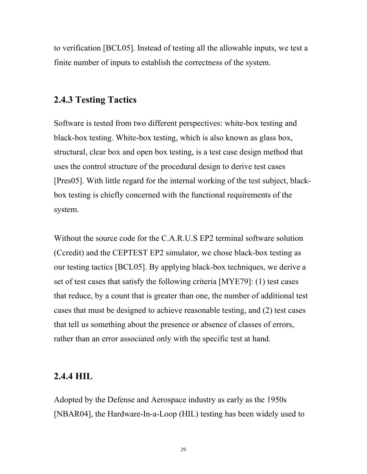to verification [BCL05]. Instead of testing all the allowable inputs, we test a finite number of inputs to establish the correctness of the system.

#### **2.4.3 Testing Tactics**

Software is tested from two different perspectives: white-box testing and black-box testing. White-box testing, which is also known as glass box, structural, clear box and open box testing, is a test case design method that uses the control structure of the procedural design to derive test cases [Pres05]. With little regard for the internal working of the test subject, blackbox testing is chiefly concerned with the functional requirements of the system.

Without the source code for the C.A.R.U.S EP2 terminal software solution (Ccredit) and the CEPTEST EP2 simulator, we chose black-box testing as our testing tactics [BCL05]. By applying black-box techniques, we derive a set of test cases that satisfy the following criteria [MYE79]: (1) test cases that reduce, by a count that is greater than one, the number of additional test cases that must be designed to achieve reasonable testing, and (2) test cases that tell us something about the presence or absence of classes of errors, rather than an error associated only with the specific test at hand.

#### **2.4.4 HIL**

Adopted by the Defense and Aerospace industry as early as the 1950s [NBAR04], the Hardware-In-a-Loop (HIL) testing has been widely used to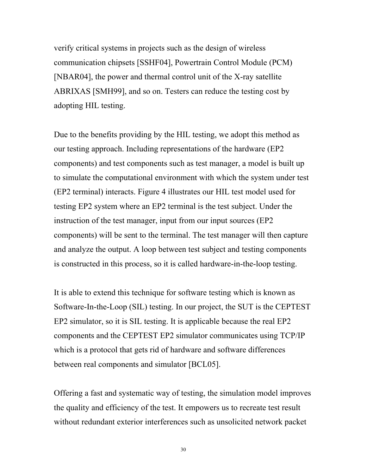verify critical systems in projects such as the design of wireless communication chipsets [SSHF04], Powertrain Control Module (PCM) [NBAR04], the power and thermal control unit of the X-ray satellite ABRIXAS [SMH99], and so on. Testers can reduce the testing cost by adopting HIL testing.

Due to the benefits providing by the HIL testing, we adopt this method as our testing approach. Including representations of the hardware (EP2 components) and test components such as test manager, a model is built up to simulate the computational environment with which the system under test (EP2 terminal) interacts. Figure 4 illustrates our HIL test model used for testing EP2 system where an EP2 terminal is the test subject. Under the instruction of the test manager, input from our input sources (EP2 components) will be sent to the terminal. The test manager will then capture and analyze the output. A loop between test subject and testing components is constructed in this process, so it is called hardware-in-the-loop testing.

It is able to extend this technique for software testing which is known as Software-In-the-Loop (SIL) testing. In our project, the SUT is the CEPTEST EP2 simulator, so it is SIL testing. It is applicable because the real EP2 components and the CEPTEST EP2 simulator communicates using TCP/IP which is a protocol that gets rid of hardware and software differences between real components and simulator [BCL05].

Offering a fast and systematic way of testing, the simulation model improves the quality and efficiency of the test. It empowers us to recreate test result without redundant exterior interferences such as unsolicited network packet

30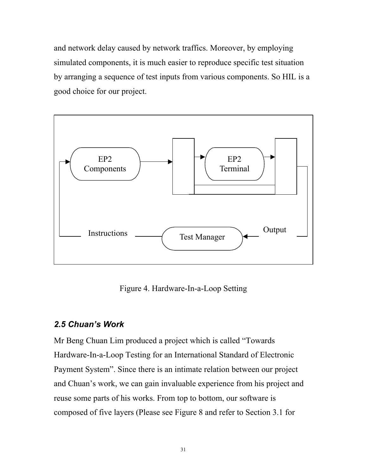and network delay caused by network traffics. Moreover, by employing simulated components, it is much easier to reproduce specific test situation by arranging a sequence of test inputs from various components. So HIL is a good choice for our project.



Figure 4. Hardware-In-a-Loop Setting

#### *2.5 Chuan's Work*

Mr Beng Chuan Lim produced a project which is called "Towards Hardware-In-a-Loop Testing for an International Standard of Electronic Payment System". Since there is an intimate relation between our project and Chuan's work, we can gain invaluable experience from his project and reuse some parts of his works. From top to bottom, our software is composed of five layers (Please see Figure 8 and refer to Section 3.1 for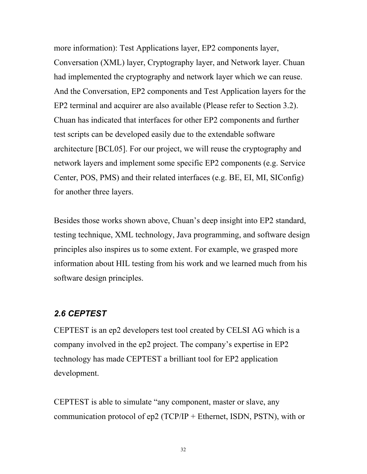more information): Test Applications layer, EP2 components layer, Conversation (XML) layer, Cryptography layer, and Network layer. Chuan had implemented the cryptography and network layer which we can reuse. And the Conversation, EP2 components and Test Application layers for the EP2 terminal and acquirer are also available (Please refer to Section 3.2). Chuan has indicated that interfaces for other EP2 components and further test scripts can be developed easily due to the extendable software architecture [BCL05]. For our project, we will reuse the cryptography and network layers and implement some specific EP2 components (e.g. Service Center, POS, PMS) and their related interfaces (e.g. BE, EI, MI, SIConfig) for another three layers.

Besides those works shown above, Chuan's deep insight into EP2 standard, testing technique, XML technology, Java programming, and software design principles also inspires us to some extent. For example, we grasped more information about HIL testing from his work and we learned much from his software design principles.

#### *2.6 CEPTEST*

CEPTEST is an ep2 developers test tool created by CELSI AG which is a company involved in the ep2 project. The company's expertise in EP2 technology has made CEPTEST a brilliant tool for EP2 application development.

CEPTEST is able to simulate "any component, master or slave, any communication protocol of ep2 (TCP/IP + Ethernet, ISDN, PSTN), with or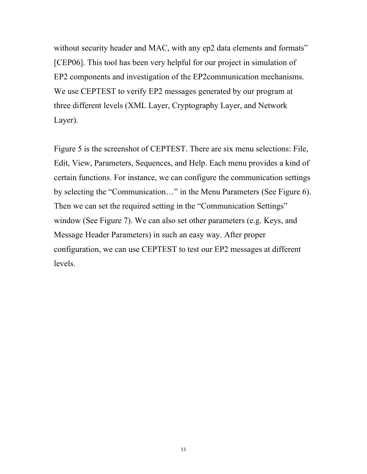without security header and MAC, with any ep2 data elements and formats" [CEP06]. This tool has been very helpful for our project in simulation of EP2 components and investigation of the EP2communication mechanisms. We use CEPTEST to verify EP2 messages generated by our program at three different levels (XML Layer, Cryptography Layer, and Network Layer).

Figure 5 is the screenshot of CEPTEST. There are six menu selections: File, Edit, View, Parameters, Sequences, and Help. Each menu provides a kind of certain functions. For instance, we can configure the communication settings by selecting the "Communication…" in the Menu Parameters (See Figure 6). Then we can set the required setting in the "Communication Settings" window (See Figure 7). We can also set other parameters (e.g. Keys, and Message Header Parameters) in such an easy way. After proper configuration, we can use CEPTEST to test our EP2 messages at different levels.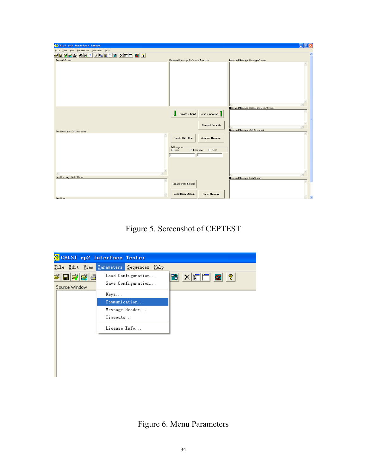| CELSI ep2 Interface Tester               |                                                                                                                          |                                             | $\Box$ e $\boxtimes$              |
|------------------------------------------|--------------------------------------------------------------------------------------------------------------------------|---------------------------------------------|-----------------------------------|
| Eile Edit View Parameters Sequences Help |                                                                                                                          |                                             |                                   |
| AALIBEED XFF 8 ?<br>a da a               |                                                                                                                          |                                             | $\hat{\phantom{a}}$               |
| Source Window                            | Received Message: Reference Structure                                                                                    | Received Message: Message Content           |                                   |
|                                          |                                                                                                                          |                                             | $\hat{\phantom{a}}$               |
|                                          |                                                                                                                          | Received Message: Header and Security Items | $\overline{\phantom{a}}$          |
| Send Message: XML Document               | $\begin{array}{ c c c c c }\n\hline\n\end{array}$ Create + Send Parse + Analyse<br><b>Decrypt Security</b>               | Received Message: XML Document              | $\checkmark$                      |
|                                          | <b>Create XML Doc</b><br><b>Analyse Message</b><br>Add msgnum<br>G New<br>$\cap$ None<br>C From Input<br>$\sqrt{6}$<br>o |                                             | $\wedge$                          |
| Send Message: Data Stream<br>$\wedge$    | <b>Create Data Stream</b>                                                                                                | Received Message: Data Stream               | $\wedge$                          |
| Send time                                | Send Data Stream<br>Parse Message                                                                                        |                                             | $\overline{\mathbf{v}}$<br>$\vee$ |

Figure 5. Screenshot of CEPTEST

|                         | CELSI ep2 Interface Tester               |        |
|-------------------------|------------------------------------------|--------|
|                         | File Edit View Parameters Sequences Help |        |
| 2 日화법률<br>Source Window | Load Configuration<br>Save Configuration | BXFFG? |
|                         | Keys                                     |        |
|                         | Communication                            |        |
|                         | Message Header                           |        |
|                         | Timeouts                                 |        |
|                         | License Info                             |        |
|                         |                                          |        |
|                         |                                          |        |
|                         |                                          |        |
|                         |                                          |        |
|                         |                                          |        |

Figure 6. Menu Parameters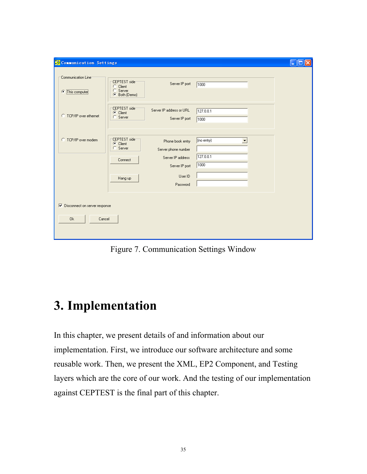| Communication Settings                                                   |                                                       |                                                                                |                                      | ı. |  |
|--------------------------------------------------------------------------|-------------------------------------------------------|--------------------------------------------------------------------------------|--------------------------------------|----|--|
| Communication Line<br>œ<br>This computer                                 | CEPTEST side<br>C Client<br>C Server<br>C Both (Demo) | Server IP port                                                                 | 1000                                 |    |  |
| C TCP/IP over ethernet                                                   | CEPTEST side<br>C Client<br>C Server                  | Server IP address or URL<br>Server IP port                                     | 127.0.0.1<br>1000                    |    |  |
| C TCP/IP over modem                                                      | CEPTEST side<br>C Client<br>C Server<br>Connect       | Phone book entry<br>Server phone number<br>Server IP address<br>Server IP port | (no entry)<br>▼<br>127.0.0.1<br>1000 |    |  |
|                                                                          | Hang up                                               | User ID<br>Password                                                            |                                      |    |  |
| $\overline{\triangledown}$ Disconnect on server response<br>0k<br>Cancel |                                                       |                                                                                |                                      |    |  |

Figure 7. Communication Settings Window

## **3. Implementation**

In this chapter, we present details of and information about our implementation. First, we introduce our software architecture and some reusable work. Then, we present the XML, EP2 Component, and Testing layers which are the core of our work. And the testing of our implementation against CEPTEST is the final part of this chapter.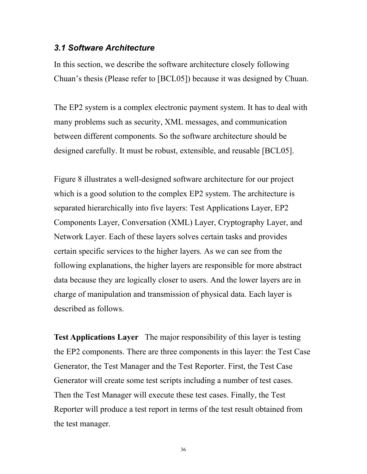#### *3.1 Software Architecture*

In this section, we describe the software architecture closely following Chuan's thesis (Please refer to [BCL05]) because it was designed by Chuan.

The EP2 system is a complex electronic payment system. It has to deal with many problems such as security, XML messages, and communication between different components. So the software architecture should be designed carefully. It must be robust, extensible, and reusable [BCL05].

Figure 8 illustrates a well-designed software architecture for our project which is a good solution to the complex EP2 system. The architecture is separated hierarchically into five layers: Test Applications Layer, EP2 Components Layer, Conversation (XML) Layer, Cryptography Layer, and Network Layer. Each of these layers solves certain tasks and provides certain specific services to the higher layers. As we can see from the following explanations, the higher layers are responsible for more abstract data because they are logically closer to users. And the lower layers are in charge of manipulation and transmission of physical data. Each layer is described as follows.

**Test Applications Layer** The major responsibility of this layer is testing the EP2 components. There are three components in this layer: the Test Case Generator, the Test Manager and the Test Reporter. First, the Test Case Generator will create some test scripts including a number of test cases. Then the Test Manager will execute these test cases. Finally, the Test Reporter will produce a test report in terms of the test result obtained from the test manager.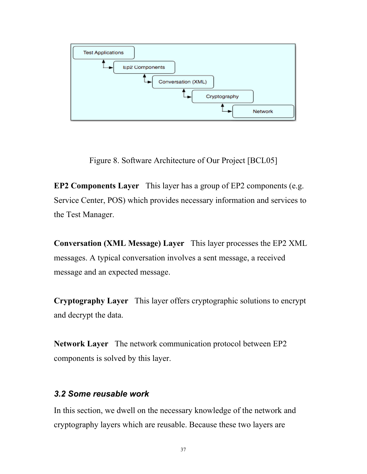

Figure 8. Software Architecture of Our Project [BCL05]

**EP2 Components Layer** This layer has a group of EP2 components (e.g. Service Center, POS) which provides necessary information and services to the Test Manager.

**Conversation (XML Message) Layer** This layer processes the EP2 XML messages. A typical conversation involves a sent message, a received message and an expected message.

**Cryptography Layer** This layer offers cryptographic solutions to encrypt and decrypt the data.

**Network Layer** The network communication protocol between EP2 components is solved by this layer.

#### *3.2 Some reusable work*

In this section, we dwell on the necessary knowledge of the network and cryptography layers which are reusable. Because these two layers are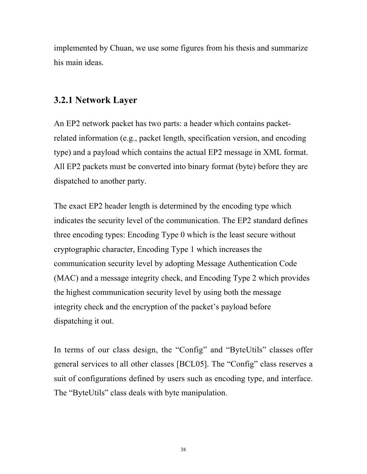implemented by Chuan, we use some figures from his thesis and summarize his main ideas.

## **3.2.1 Network Layer**

An EP2 network packet has two parts: a header which contains packetrelated information (e.g., packet length, specification version, and encoding type) and a payload which contains the actual EP2 message in XML format. All EP2 packets must be converted into binary format (byte) before they are dispatched to another party.

The exact EP2 header length is determined by the encoding type which indicates the security level of the communication. The EP2 standard defines three encoding types: Encoding Type 0 which is the least secure without cryptographic character, Encoding Type 1 which increases the communication security level by adopting Message Authentication Code (MAC) and a message integrity check, and Encoding Type 2 which provides the highest communication security level by using both the message integrity check and the encryption of the packet's payload before dispatching it out.

In terms of our class design, the "Config" and "ByteUtils" classes offer general services to all other classes [BCL05]. The "Config" class reserves a suit of configurations defined by users such as encoding type, and interface. The "ByteUtils" class deals with byte manipulation.

38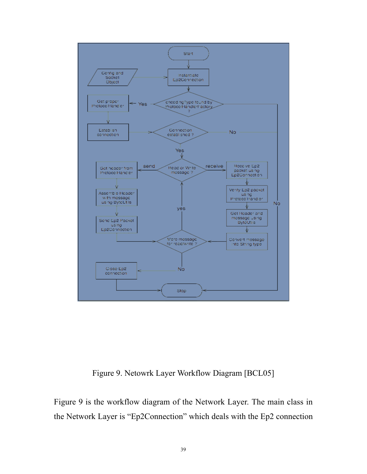

Figure 9. Netowrk Layer Workflow Diagram [BCL05]

Figure 9 is the workflow diagram of the Network Layer. The main class in the Network Layer is "Ep2Connection" which deals with the Ep2 connection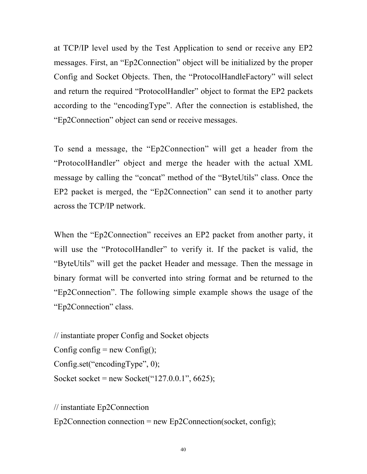at TCP/IP level used by the Test Application to send or receive any EP2 messages. First, an "Ep2Connection" object will be initialized by the proper Config and Socket Objects. Then, the "ProtocolHandleFactory" will select and return the required "ProtocolHandler" object to format the EP2 packets according to the "encodingType". After the connection is established, the "Ep2Connection" object can send or receive messages.

To send a message, the "Ep2Connection" will get a header from the "ProtocolHandler" object and merge the header with the actual XML message by calling the "concat" method of the "ByteUtils" class. Once the EP2 packet is merged, the "Ep2Connection" can send it to another party across the TCP/IP network.

When the "Ep2Connection" receives an EP2 packet from another party, it will use the "ProtocolHandler" to verify it. If the packet is valid, the "ByteUtils" will get the packet Header and message. Then the message in binary format will be converted into string format and be returned to the "Ep2Connection". The following simple example shows the usage of the "Ep2Connection" class.

```
// instantiate proper Config and Socket objects
Config config = new Config();
Config.set("encodingType", 0);
Socket socket = new Socket("127.0.0.1", 6625);
```
// instantiate Ep2Connection  $Ep2Connection connection = new Ep2Connection(sockets, config);$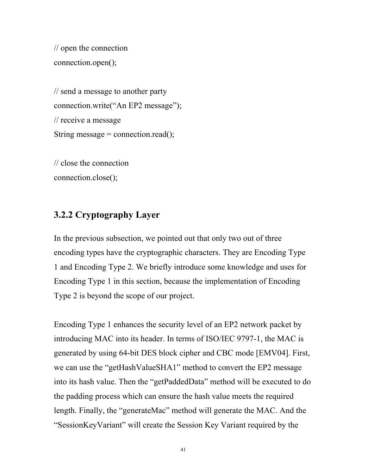```
// open the connection
connection.open();
```

```
// send a message to another party
connection.write("An EP2 message");
// receive a message
String message = connection.read();
```
// close the connection connection.close();

## **3.2.2 Cryptography Layer**

In the previous subsection, we pointed out that only two out of three encoding types have the cryptographic characters. They are Encoding Type 1 and Encoding Type 2. We briefly introduce some knowledge and uses for Encoding Type 1 in this section, because the implementation of Encoding Type 2 is beyond the scope of our project.

Encoding Type 1 enhances the security level of an EP2 network packet by introducing MAC into its header. In terms of ISO/IEC 9797-1, the MAC is generated by using 64-bit DES block cipher and CBC mode [EMV04]. First, we can use the "getHashValueSHA1" method to convert the EP2 message into its hash value. Then the "getPaddedData" method will be executed to do the padding process which can ensure the hash value meets the required length. Finally, the "generateMac" method will generate the MAC. And the "SessionKeyVariant" will create the Session Key Variant required by the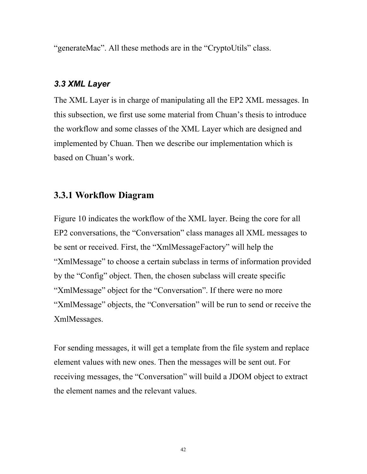"generateMac". All these methods are in the "CryptoUtils" class.

#### *3.3 XML Layer*

The XML Layer is in charge of manipulating all the EP2 XML messages. In this subsection, we first use some material from Chuan's thesis to introduce the workflow and some classes of the XML Layer which are designed and implemented by Chuan. Then we describe our implementation which is based on Chuan's work.

## **3.3.1 Workflow Diagram**

Figure 10 indicates the workflow of the XML layer. Being the core for all EP2 conversations, the "Conversation" class manages all XML messages to be sent or received. First, the "XmlMessageFactory" will help the "XmlMessage" to choose a certain subclass in terms of information provided by the "Config" object. Then, the chosen subclass will create specific "XmlMessage" object for the "Conversation". If there were no more "XmlMessage" objects, the "Conversation" will be run to send or receive the XmlMessages.

For sending messages, it will get a template from the file system and replace element values with new ones. Then the messages will be sent out. For receiving messages, the "Conversation" will build a JDOM object to extract the element names and the relevant values.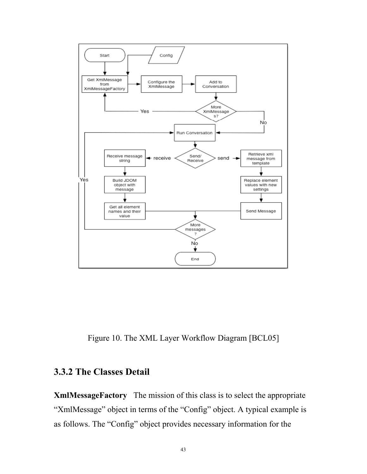

Figure 10. The XML Layer Workflow Diagram [BCL05]

## **3.3.2 The Classes Detail**

**XmlMessageFactory** The mission of this class is to select the appropriate "XmlMessage" object in terms of the "Config" object. A typical example is as follows. The "Config" object provides necessary information for the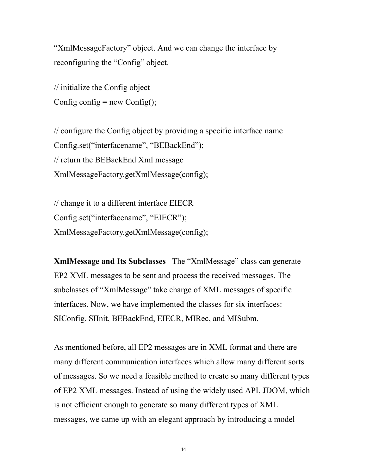"XmlMessageFactory" object. And we can change the interface by reconfiguring the "Config" object.

// initialize the Config object Config config  $=$  new Config $()$ ;

// configure the Config object by providing a specific interface name Config.set("interfacename", "BEBackEnd"); // return the BEBackEnd Xml message XmlMessageFactory.getXmlMessage(config);

// change it to a different interface EIECR Config.set("interfacename", "EIECR"); XmlMessageFactory.getXmlMessage(config);

**XmlMessage and Its Subclasses** The "XmlMessage" class can generate EP2 XML messages to be sent and process the received messages. The subclasses of "XmlMessage" take charge of XML messages of specific interfaces. Now, we have implemented the classes for six interfaces: SIConfig, SIInit, BEBackEnd, EIECR, MIRec, and MISubm.

As mentioned before, all EP2 messages are in XML format and there are many different communication interfaces which allow many different sorts of messages. So we need a feasible method to create so many different types of EP2 XML messages. Instead of using the widely used API, JDOM, which is not efficient enough to generate so many different types of XML messages, we came up with an elegant approach by introducing a model

44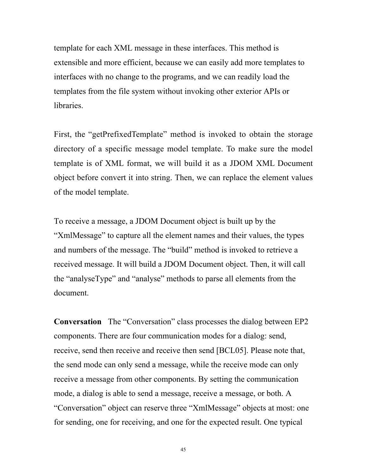template for each XML message in these interfaces. This method is extensible and more efficient, because we can easily add more templates to interfaces with no change to the programs, and we can readily load the templates from the file system without invoking other exterior APIs or libraries.

First, the "getPrefixedTemplate" method is invoked to obtain the storage directory of a specific message model template. To make sure the model template is of XML format, we will build it as a JDOM XML Document object before convert it into string. Then, we can replace the element values of the model template.

To receive a message, a JDOM Document object is built up by the "XmlMessage" to capture all the element names and their values, the types and numbers of the message. The "build" method is invoked to retrieve a received message. It will build a JDOM Document object. Then, it will call the "analyseType" and "analyse" methods to parse all elements from the document.

**Conversation** The "Conversation" class processes the dialog between EP2 components. There are four communication modes for a dialog: send, receive, send then receive and receive then send [BCL05]. Please note that, the send mode can only send a message, while the receive mode can only receive a message from other components. By setting the communication mode, a dialog is able to send a message, receive a message, or both. A "Conversation" object can reserve three "XmlMessage" objects at most: one for sending, one for receiving, and one for the expected result. One typical

45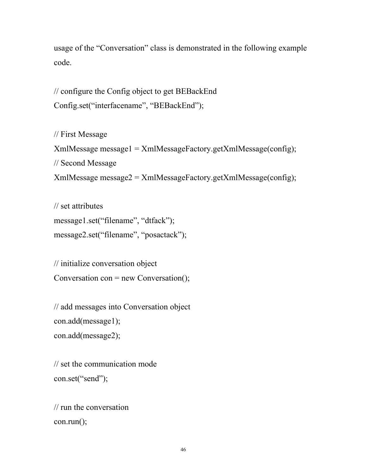usage of the "Conversation" class is demonstrated in the following example code.

// configure the Config object to get BEBackEnd Config.set("interfacename", "BEBackEnd");

// First Message XmlMessage message1 = XmlMessageFactory.getXmlMessage(config); // Second Message XmlMessage message2 = XmlMessageFactory.getXmlMessage(config);

```
// set attributes
message1.set("filename", "dtfack");
message2.set("filename", "posactack");
```
// initialize conversation object Conversation con = new Conversation();

// add messages into Conversation object con.add(message1); con.add(message2);

// set the communication mode con.set("send");

```
// run the conversation
con.run();
```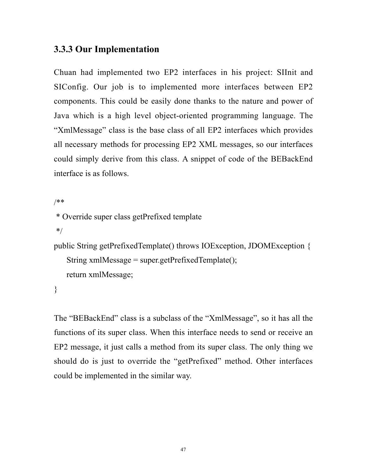## **3.3.3 Our Implementation**

Chuan had implemented two EP2 interfaces in his project: SIInit and SIConfig. Our job is to implemented more interfaces between EP2 components. This could be easily done thanks to the nature and power of Java which is a high level object-oriented programming language. The "XmlMessage" class is the base class of all EP2 interfaces which provides all necessary methods for processing EP2 XML messages, so our interfaces could simply derive from this class. A snippet of code of the BEBackEnd interface is as follows.

```
/**
 * Override super class getPrefixed template
 */
public String getPrefixedTemplate() throws IOException, JDOMException {
   String xmlMessage = super.getPrefixedTemplate();
   return xmlMessage;
```
}

The "BEBackEnd" class is a subclass of the "XmlMessage", so it has all the functions of its super class. When this interface needs to send or receive an EP2 message, it just calls a method from its super class. The only thing we should do is just to override the "getPrefixed" method. Other interfaces could be implemented in the similar way.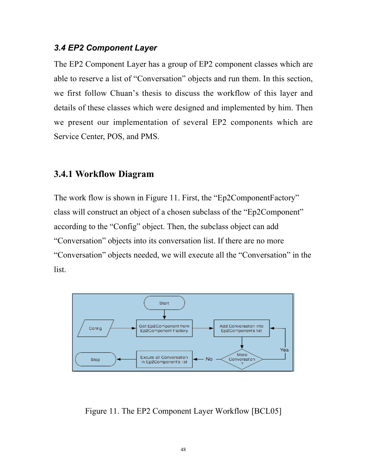#### *3.4 EP2 Component Layer*

The EP2 Component Layer has a group of EP2 component classes which are able to reserve a list of "Conversation" objects and run them. In this section, we first follow Chuan's thesis to discuss the workflow of this layer and details of these classes which were designed and implemented by him. Then we present our implementation of several EP2 components which are Service Center, POS, and PMS.

#### **3.4.1 Workflow Diagram**

The work flow is shown in Figure 11. First, the "Ep2ComponentFactory" class will construct an object of a chosen subclass of the "Ep2Component" according to the "Config" object. Then, the subclass object can add "Conversation" objects into its conversation list. If there are no more "Conversation" objects needed, we will execute all the "Conversation" in the list.



Figure 11. The EP2 Component Layer Workflow [BCL05]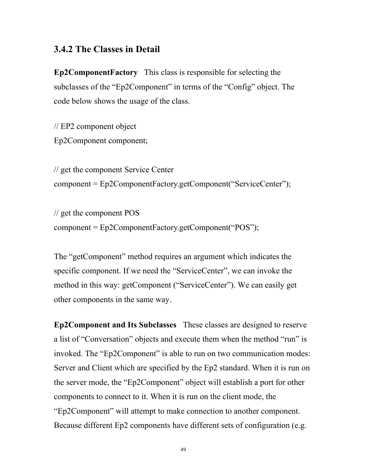## **3.4.2 The Classes in Detail**

**Ep2ComponentFactory** This class is responsible for selecting the subclasses of the "Ep2Component" in terms of the "Config" object. The code below shows the usage of the class.

// EP2 component object Ep2Component component;

// get the component Service Center component = Ep2ComponentFactory.getComponent("ServiceCenter");

// get the component POS component = Ep2ComponentFactory.getComponent("POS");

The "getComponent" method requires an argument which indicates the specific component. If we need the "ServiceCenter", we can invoke the method in this way: getComponent ("ServiceCenter"). We can easily get other components in the same way.

**Ep2Component and Its Subclasses** These classes are designed to reserve a list of "Conversation" objects and execute them when the method "run" is invoked. The "Ep2Component" is able to run on two communication modes: Server and Client which are specified by the Ep2 standard. When it is run on the server mode, the "Ep2Component" object will establish a port for other components to connect to it. When it is run on the client mode, the "Ep2Component" will attempt to make connection to another component. Because different Ep2 components have different sets of configuration (e.g.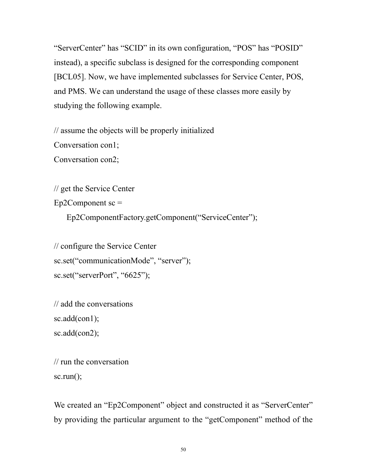"ServerCenter" has "SCID" in its own configuration, "POS" has "POSID" instead), a specific subclass is designed for the corresponding component [BCL05]. Now, we have implemented subclasses for Service Center, POS, and PMS. We can understand the usage of these classes more easily by studying the following example.

// assume the objects will be properly initialized

Conversation con1;

Conversation con2;

// get the Service Center

 $Ep2Component$  sc =

Ep2ComponentFactory.getComponent("ServiceCenter");

// configure the Service Center sc.set("communicationMode", "server"); sc.set("serverPort", "6625");

```
// add the conversations
sc.add(con1);sc.add(con2);
```

```
// run the conversation
sc.run();
```
We created an "Ep2Component" object and constructed it as "ServerCenter" by providing the particular argument to the "getComponent" method of the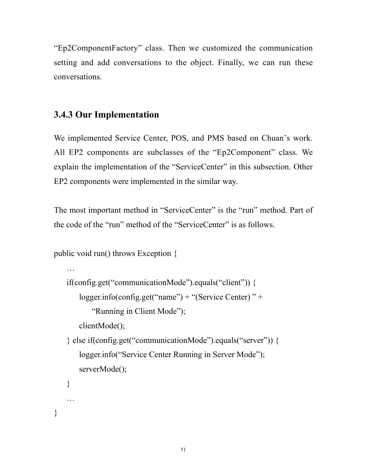"Ep2ComponentFactory" class. Then we customized the communication setting and add conversations to the object. Finally, we can run these conversations.

## **3.4.3 Our Implementation**

We implemented Service Center, POS, and PMS based on Chuan's work. All EP2 components are subclasses of the "Ep2Component" class. We explain the implementation of the "ServiceCenter" in this subsection. Other EP2 components were implemented in the similar way.

The most important method in "ServiceCenter" is the "run" method. Part of the code of the "run" method of the "ServiceCenter" is as follows.

```
public void run() throws Exception {
```
…

…

}

```
if(config.get("communicationMode").equals("client")) {
   logger.info(config.get("name") + "(Service Center) " +
       "Running in Client Mode");
   clientMode();
} else if(config.get("communicationMode").equals("server")) {
   logger.info("Service Center Running in Server Mode");
   serverMode();
}
```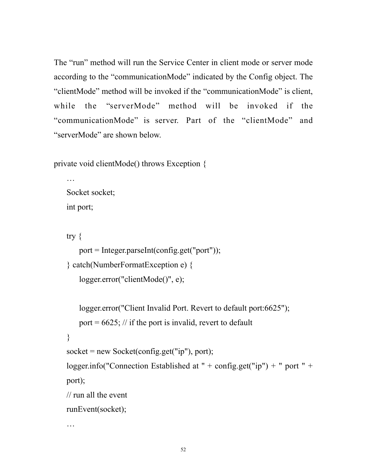The "run" method will run the Service Center in client mode or server mode according to the "communicationMode" indicated by the Config object. The "clientMode" method will be invoked if the "communicationMode" is client, while the "serverMode" method will be invoked if the "communicationMode" is server. Part of the "clientMode" and "serverMode" are shown below.

private void clientMode() throws Exception {

… Socket socket; int port;

try {

…

```
port = Integer.parseInt(config.get("port"));
} catch(NumberFormatException e) {
   logger.error("clientMode()", e);
```

```
logger.error("Client Invalid Port. Revert to default port:6625");
   port = 6625; // if the port is invalid, revert to default
}
socket = new Sockets(config.get("ip"), port);logger.info("Connection Established at " + config.get("ip") + " port " +
port);
// run all the event
runEvent(socket);
```
52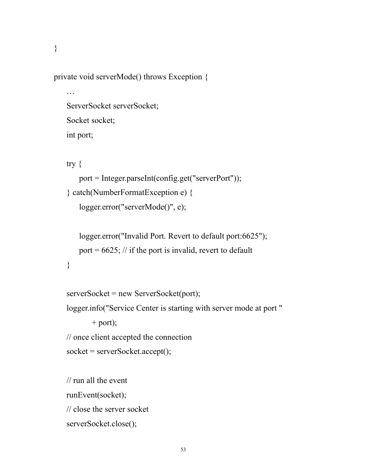}

private void serverMode() throws Exception {

```
…
ServerSocket serverSocket;
Socket socket;
int port;
```
try {

}

```
port = Integer.parseInt(config.get("serverPort"));
} catch(NumberFormatException e) {
   logger.error("serverMode()", e);
```

```
logger.error("Invalid Port. Revert to default port:6625");
port = 6625; // if the port is invalid, revert to default
```

```
serverSocket = new ServerSocket(port);
```
logger.info("Service Center is starting with server mode at port "

 $+$  port);

// once client accepted the connection

```
socket = serverSocket.accept();
```

```
// run all the event
runEvent(socket);
// close the server socket
serverSocket.close();
```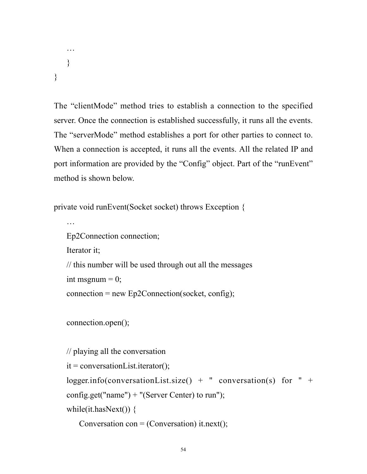… } }

The "clientMode" method tries to establish a connection to the specified server. Once the connection is established successfully, it runs all the events. The "serverMode" method establishes a port for other parties to connect to. When a connection is accepted, it runs all the events. All the related IP and port information are provided by the "Config" object. Part of the "runEvent" method is shown below.

private void runEvent(Socket socket) throws Exception {

```
…
Ep2Connection connection;
Iterator it;
// this number will be used through out all the messages
int msgnum = 0;
connection = new Ep2Connection(sockets, config);
```

```
connection.open();
```

```
// playing all the conversation
it = conversationList.iterator();
logger.info(conversationList.size() + " conversation(s) for " +
config.get("name") + "(Server Center) to run");
```
while(it.hasNext()) {

```
Conversation con = (Conversation) it.next();
```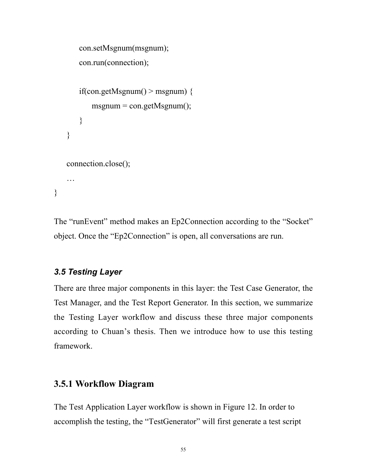```
con.setMsgnum(msgnum);
   con.run(connection);
   if(con.getMsgnum() > msgnum) {
       msgnum = con.getMsgnum();
   }
}
connection.close();
…
```
The "runEvent" method makes an Ep2Connection according to the "Socket" object. Once the "Ep2Connection" is open, all conversations are run.

#### *3.5 Testing Layer*

}

There are three major components in this layer: the Test Case Generator, the Test Manager, and the Test Report Generator. In this section, we summarize the Testing Layer workflow and discuss these three major components according to Chuan's thesis. Then we introduce how to use this testing framework.

#### **3.5.1 Workflow Diagram**

The Test Application Layer workflow is shown in Figure 12. In order to accomplish the testing, the "TestGenerator" will first generate a test script

```
55
```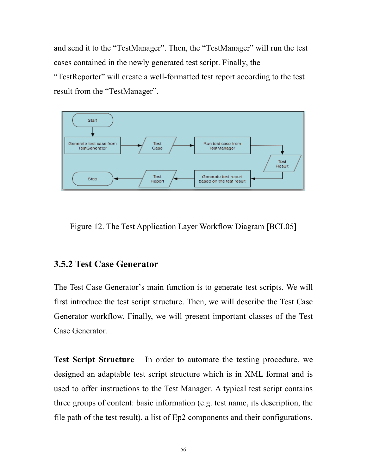and send it to the "TestManager". Then, the "TestManager" will run the test cases contained in the newly generated test script. Finally, the "TestReporter" will create a well-formatted test report according to the test result from the "TestManager".



Figure 12. The Test Application Layer Workflow Diagram [BCL05]

## **3.5.2 Test Case Generator**

The Test Case Generator's main function is to generate test scripts. We will first introduce the test script structure. Then, we will describe the Test Case Generator workflow. Finally, we will present important classes of the Test Case Generator.

**Test Script Structure** In order to automate the testing procedure, we designed an adaptable test script structure which is in XML format and is used to offer instructions to the Test Manager. A typical test script contains three groups of content: basic information (e.g. test name, its description, the file path of the test result), a list of Ep2 components and their configurations,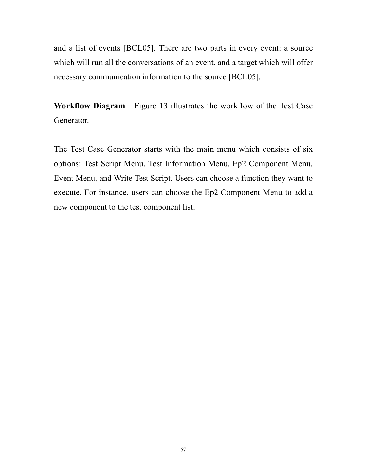and a list of events [BCL05]. There are two parts in every event: a source which will run all the conversations of an event, and a target which will offer necessary communication information to the source [BCL05].

**Workflow Diagram** Figure 13 illustrates the workflow of the Test Case Generator.

The Test Case Generator starts with the main menu which consists of six options: Test Script Menu, Test Information Menu, Ep2 Component Menu, Event Menu, and Write Test Script. Users can choose a function they want to execute. For instance, users can choose the Ep2 Component Menu to add a new component to the test component list.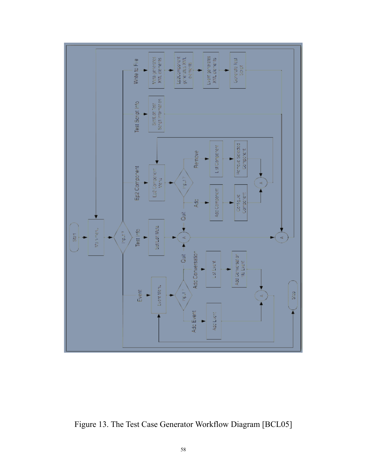

Figure 13. The Test Case Generator Workflow Diagram [BCL05]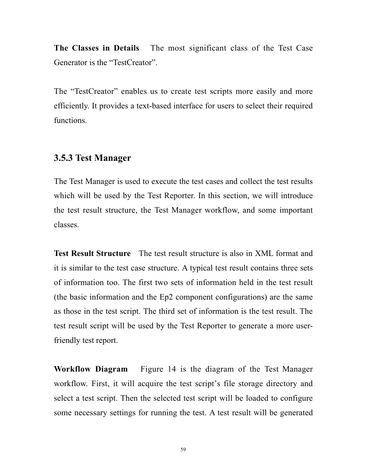**The Classes in Details** The most significant class of the Test Case Generator is the "TestCreator".

The "TestCreator" enables us to create test scripts more easily and more efficiently. It provides a text-based interface for users to select their required functions.

#### **3.5.3 Test Manager**

The Test Manager is used to execute the test cases and collect the test results which will be used by the Test Reporter. In this section, we will introduce the test result structure, the Test Manager workflow, and some important classes.

**Test Result Structure** The test result structure is also in XML format and it is similar to the test case structure. A typical test result contains three sets of information too. The first two sets of information held in the test result (the basic information and the Ep2 component configurations) are the same as those in the test script. The third set of information is the test result. The test result script will be used by the Test Reporter to generate a more userfriendly test report.

**Workflow Diagram** Figure 14 is the diagram of the Test Manager workflow. First, it will acquire the test script's file storage directory and select a test script. Then the selected test script will be loaded to configure some necessary settings for running the test. A test result will be generated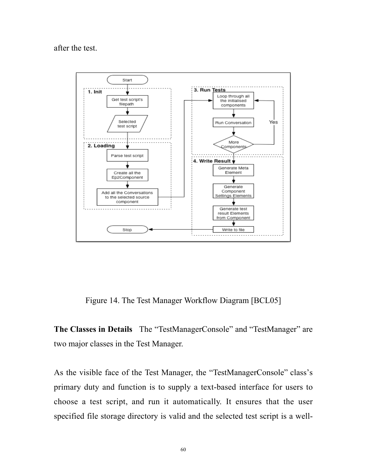after the test.



Figure 14. The Test Manager Workflow Diagram [BCL05]

**The Classes in Details** The "TestManagerConsole" and "TestManager" are two major classes in the Test Manager.

As the visible face of the Test Manager, the "TestManagerConsole" class's primary duty and function is to supply a text-based interface for users to choose a test script, and run it automatically. It ensures that the user specified file storage directory is valid and the selected test script is a well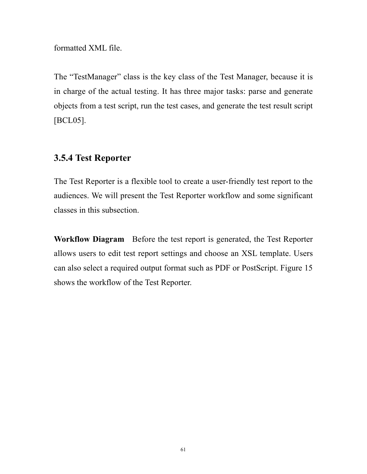formatted XML file.

The "TestManager" class is the key class of the Test Manager, because it is in charge of the actual testing. It has three major tasks: parse and generate objects from a test script, run the test cases, and generate the test result script [BCL05].

## **3.5.4 Test Reporter**

The Test Reporter is a flexible tool to create a user-friendly test report to the audiences. We will present the Test Reporter workflow and some significant classes in this subsection.

**Workflow Diagram** Before the test report is generated, the Test Reporter allows users to edit test report settings and choose an XSL template. Users can also select a required output format such as PDF or PostScript. Figure 15 shows the workflow of the Test Reporter.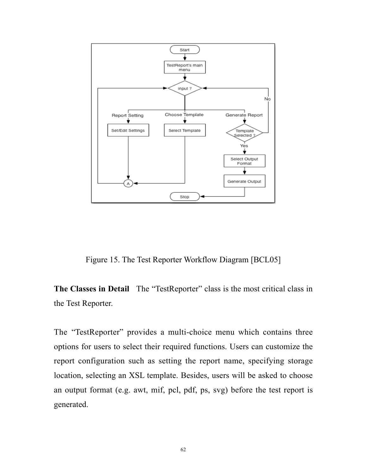

Figure 15. The Test Reporter Workflow Diagram [BCL05]

**The Classes in Detail** The "TestReporter" class is the most critical class in the Test Reporter.

The "TestReporter" provides a multi-choice menu which contains three options for users to select their required functions. Users can customize the report configuration such as setting the report name, specifying storage location, selecting an XSL template. Besides, users will be asked to choose an output format (e.g. awt, mif, pcl, pdf, ps, svg) before the test report is generated.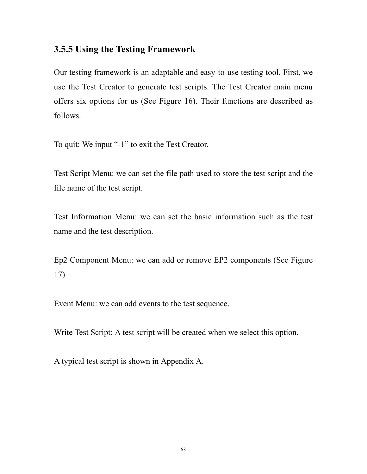## **3.5.5 Using the Testing Framework**

Our testing framework is an adaptable and easy-to-use testing tool. First, we use the Test Creator to generate test scripts. The Test Creator main menu offers six options for us (See Figure 16). Their functions are described as follows.

To quit: We input "-1" to exit the Test Creator.

Test Script Menu: we can set the file path used to store the test script and the file name of the test script.

Test Information Menu: we can set the basic information such as the test name and the test description.

Ep2 Component Menu: we can add or remove EP2 components (See Figure 17)

Event Menu: we can add events to the test sequence.

Write Test Script: A test script will be created when we select this option.

A typical test script is shown in Appendix A.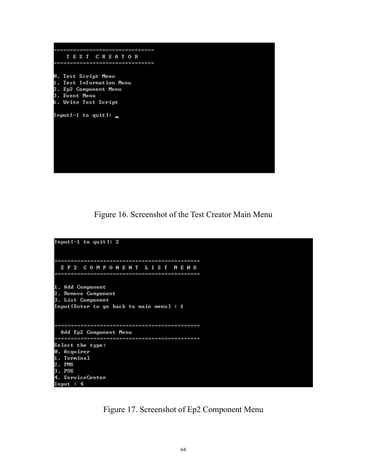

Figure 16. Screenshot of the Test Creator Main Menu



Figure 17. Screenshot of Ep2 Component Menu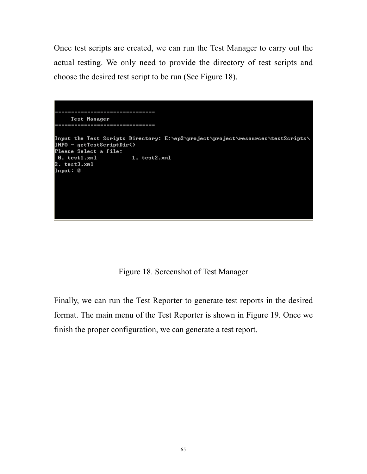Once test scripts are created, we can run the Test Manager to carry out the actual testing. We only need to provide the directory of test scripts and choose the desired test script to be run (See Figure 18).

============================= Test Manager ============================== Input the Test Scripts Directory: E:\ep2\project\project\resources\testScripts\ INFO - getTestScriptDir() Please Select a file: 0. test1.xml 1. test2.xml  $: test3.xml$ Input: 0

Figure 18. Screenshot of Test Manager

Finally, we can run the Test Reporter to generate test reports in the desired format. The main menu of the Test Reporter is shown in Figure 19. Once we finish the proper configuration, we can generate a test report.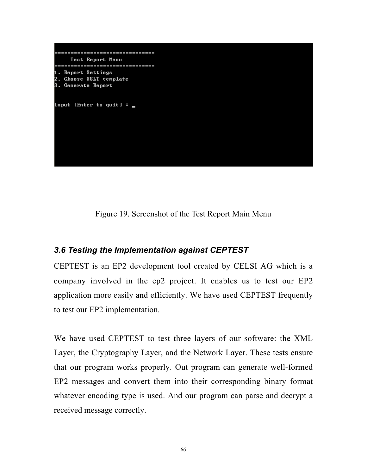

Figure 19. Screenshot of the Test Report Main Menu

## *3.6 Testing the Implementation against CEPTEST*

CEPTEST is an EP2 development tool created by CELSI AG which is a company involved in the ep2 project. It enables us to test our EP2 application more easily and efficiently. We have used CEPTEST frequently to test our EP2 implementation.

We have used CEPTEST to test three layers of our software: the XML Layer, the Cryptography Layer, and the Network Layer. These tests ensure that our program works properly. Out program can generate well-formed EP2 messages and convert them into their corresponding binary format whatever encoding type is used. And our program can parse and decrypt a received message correctly.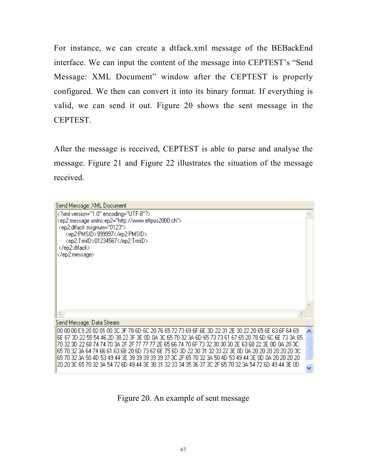For instance, we can create a dtfack.xml message of the BEBackEnd interface. We can input the content of the message into CEPTEST's "Send Message: XML Document" window after the CEPTEST is properly configured. We then can convert it into its binary format. If everything is valid, we can send it out. Figure 20 shows the sent message in the CEPTEST.

After the message is received, CEPTEST is able to parse and analyse the message. Figure 21 and Figure 22 illustrates the situation of the message received.

| Send Message: XML Document                                                                            |  |
|-------------------------------------------------------------------------------------------------------|--|
| xml version="1.0" encoding="UTF-8"?                                                                   |  |
| <ep2:message xmlns:ep2="http://www.eftpos2000.ch"></ep2:message>                                      |  |
| <ep2:dtfack msgnum="0123"></ep2:dtfack>                                                               |  |
| <ep2:pmsid>999997</ep2:pmsid>                                                                         |  |
| <ep2:trmid>01234567</ep2:trmid>                                                                       |  |
| <br>                                                                                                  |  |
|                                                                                                       |  |
|                                                                                                       |  |
|                                                                                                       |  |
|                                                                                                       |  |
|                                                                                                       |  |
|                                                                                                       |  |
|                                                                                                       |  |
|                                                                                                       |  |
| Send Message: Data Stream                                                                             |  |
| 00 00 00 E9 20 02 01 00 3C 3F 78 6D 6C 20 76 65 72 73 69 6F 6E 3D 22 31 2E 30 22 20 65 6E 63 6F 64 69 |  |
| 6E 67 3D 22 55 54 46 2D 38 22 3F 3E 0D 0A 3C 65 70 32 3A 6D 65 73 73 61 67 65 20 78 6D 6C 6E 73 3A 65 |  |
| 70 32 3D 22 68 74 74 70 3A 2F 2F 77 77 77 2E 65 66 74 70 6F 73 32 30 30 30 2E 63 68 22 3E 0D 0A 20 3C |  |
| 65 70 32 34 64 74 66 61 63 68 20 6D 73 67 6F 75 6D 3D 22 30 31 32 33 22 3F 0D 04 20 20 20 20 20 20 3C |  |
| 65 70 32 3A 50 4D 53 49 44 3E 39 39 39 39 39 37 3C 2F 65 70 32 3A 50 4D 53 49 44 3E OD 0A 20 20 20 20 |  |
| 20 20 3C 65 70 32 3A 54 72 6D 49 44 3E 30 31 32 33 34 35 36 37 3C 2F 65 70 32 3A 54 72 6D 49 44 3E 0D |  |
|                                                                                                       |  |

Figure 20. An example of sent message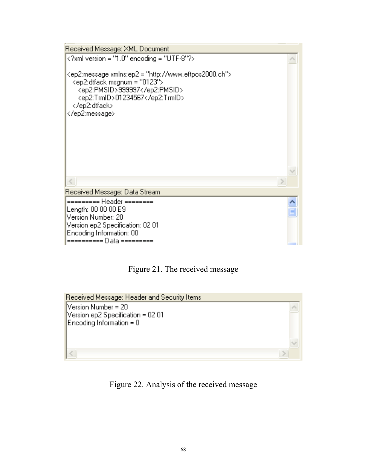



Received Message: Header and Security Items Version Number = 20 Version ep2 Specification = 02 01 Encoding Information = 0

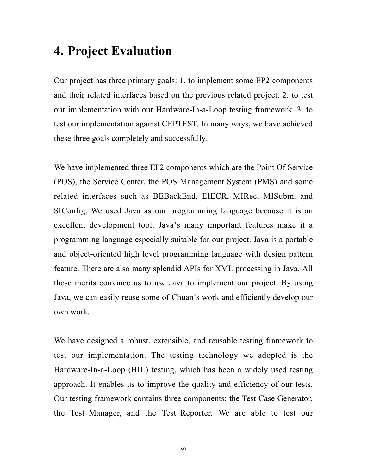# **4. Project Evaluation**

Our project has three primary goals: 1. to implement some EP2 components and their related interfaces based on the previous related project. 2. to test our implementation with our Hardware-In-a-Loop testing framework. 3. to test our implementation against CEPTEST. In many ways, we have achieved these three goals completely and successfully.

We have implemented three EP2 components which are the Point Of Service (POS), the Service Center, the POS Management System (PMS) and some related interfaces such as BEBackEnd, EIECR, MIRec, MISubm, and SIConfig. We used Java as our programming language because it is an excellent development tool. Java's many important features make it a programming language especially suitable for our project. Java is a portable and object-oriented high level programming language with design pattern feature. There are also many splendid APIs for XML processing in Java. All these merits convince us to use Java to implement our project. By using Java, we can easily reuse some of Chuan's work and efficiently develop our own work.

We have designed a robust, extensible, and reusable testing framework to test our implementation. The testing technology we adopted is the Hardware-In-a-Loop (HIL) testing, which has been a widely used testing approach. It enables us to improve the quality and efficiency of our tests. Our testing framework contains three components: the Test Case Generator, the Test Manager, and the Test Reporter. We are able to test our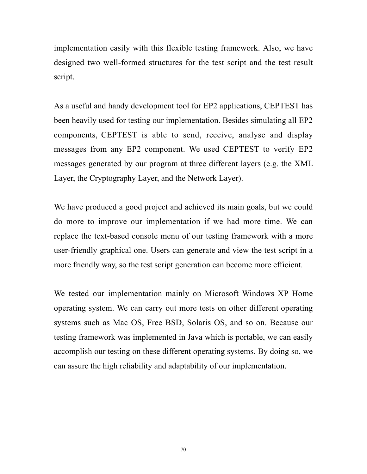implementation easily with this flexible testing framework. Also, we have designed two well-formed structures for the test script and the test result script.

As a useful and handy development tool for EP2 applications, CEPTEST has been heavily used for testing our implementation. Besides simulating all EP2 components, CEPTEST is able to send, receive, analyse and display messages from any EP2 component. We used CEPTEST to verify EP2 messages generated by our program at three different layers (e.g. the XML Layer, the Cryptography Layer, and the Network Layer).

We have produced a good project and achieved its main goals, but we could do more to improve our implementation if we had more time. We can replace the text-based console menu of our testing framework with a more user-friendly graphical one. Users can generate and view the test script in a more friendly way, so the test script generation can become more efficient.

We tested our implementation mainly on Microsoft Windows XP Home operating system. We can carry out more tests on other different operating systems such as Mac OS, Free BSD, Solaris OS, and so on. Because our testing framework was implemented in Java which is portable, we can easily accomplish our testing on these different operating systems. By doing so, we can assure the high reliability and adaptability of our implementation.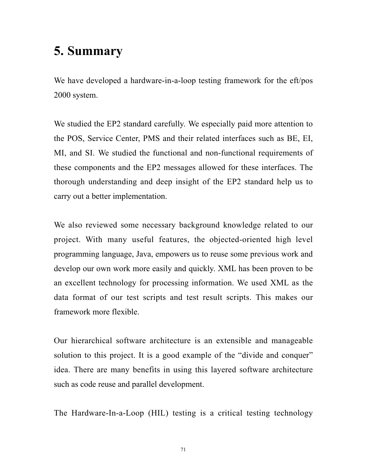# **5. Summary**

We have developed a hardware-in-a-loop testing framework for the eft/pos 2000 system.

We studied the EP2 standard carefully. We especially paid more attention to the POS, Service Center, PMS and their related interfaces such as BE, EI, MI, and SI. We studied the functional and non-functional requirements of these components and the EP2 messages allowed for these interfaces. The thorough understanding and deep insight of the EP2 standard help us to carry out a better implementation.

We also reviewed some necessary background knowledge related to our project. With many useful features, the objected-oriented high level programming language, Java, empowers us to reuse some previous work and develop our own work more easily and quickly. XML has been proven to be an excellent technology for processing information. We used XML as the data format of our test scripts and test result scripts. This makes our framework more flexible.

Our hierarchical software architecture is an extensible and manageable solution to this project. It is a good example of the "divide and conquer" idea. There are many benefits in using this layered software architecture such as code reuse and parallel development.

The Hardware-In-a-Loop (HIL) testing is a critical testing technology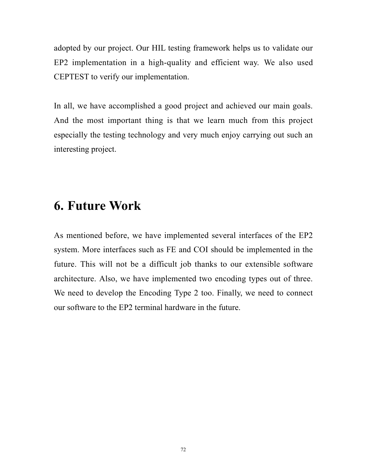adopted by our project. Our HIL testing framework helps us to validate our EP2 implementation in a high-quality and efficient way. We also used CEPTEST to verify our implementation.

In all, we have accomplished a good project and achieved our main goals. And the most important thing is that we learn much from this project especially the testing technology and very much enjoy carrying out such an interesting project.

## **6. Future Work**

As mentioned before, we have implemented several interfaces of the EP2 system. More interfaces such as FE and COI should be implemented in the future. This will not be a difficult job thanks to our extensible software architecture. Also, we have implemented two encoding types out of three. We need to develop the Encoding Type 2 too. Finally, we need to connect our software to the EP2 terminal hardware in the future.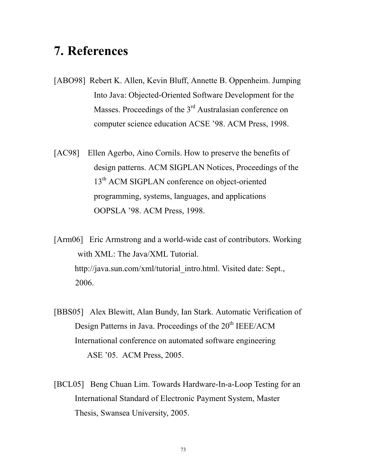## **7. References**

- [ABO98] Rebert K. Allen, Kevin Bluff, Annette B. Oppenheim. Jumping Into Java: Objected-Oriented Software Development for the Masses. Proceedings of the 3<sup>rd</sup> Australasian conference on computer science education ACSE '98. ACM Press, 1998.
- [AC98] Ellen Agerbo, Aino Cornils. How to preserve the benefits of design patterns. ACM SIGPLAN Notices, Proceedings of the 13<sup>th</sup> ACM SIGPLAN conference on object-oriented programming, systems, languages, and applications OOPSLA '98. ACM Press, 1998.

[Arm06] Eric Armstrong and a world-wide cast of contributors. Working with XML: The Java/XML Tutorial. http://java.sun.com/xml/tutorial\_intro.html. Visited date: Sept., 2006.

- [BBS05] Alex Blewitt, Alan Bundy, Ian Stark. Automatic Verification of Design Patterns in Java. Proceedings of the 20<sup>th</sup> IEEE/ACM International conference on automated software engineering ASE '05. ACM Press, 2005.
- [BCL05] Beng Chuan Lim. Towards Hardware-In-a-Loop Testing for an International Standard of Electronic Payment System, Master Thesis, Swansea University, 2005.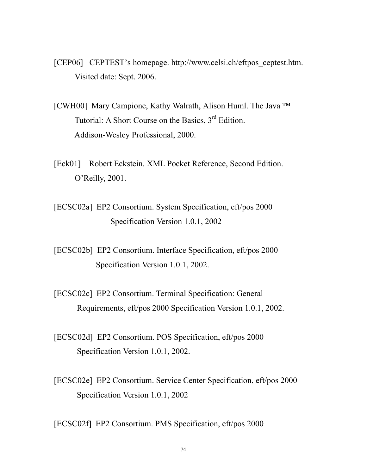- [CEP06] CEPTEST's homepage. http://www.celsi.ch/eftpos\_ceptest.htm. Visited date: Sept. 2006.
- [CWH00] Mary Campione, Kathy Walrath, Alison Huml. The Java ™ Tutorial: A Short Course on the Basics,  $3<sup>rd</sup>$  Edition. Addison-Wesley Professional, 2000.
- [Eck01] Robert Eckstein. XML Pocket Reference, Second Edition. O'Reilly, 2001.
- [ECSC02a] EP2 Consortium. System Specification, eft/pos 2000 Specification Version 1.0.1, 2002
- [ECSC02b] EP2 Consortium. Interface Specification, eft/pos 2000 Specification Version 1.0.1, 2002.
- [ECSC02c] EP2 Consortium. Terminal Specification: General Requirements, eft/pos 2000 Specification Version 1.0.1, 2002.
- [ECSC02d] EP2 Consortium. POS Specification, eft/pos 2000 Specification Version 1.0.1, 2002.
- [ECSC02e] EP2 Consortium. Service Center Specification, eft/pos 2000 Specification Version 1.0.1, 2002

[ECSC02f] EP2 Consortium. PMS Specification, eft/pos 2000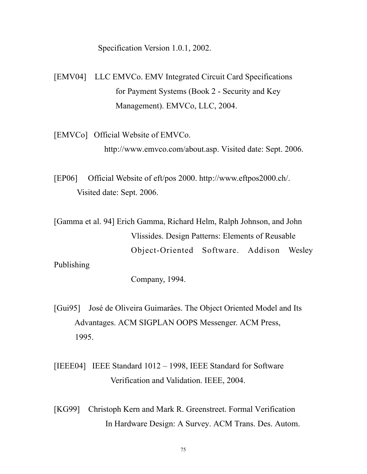Specification Version 1.0.1, 2002.

[EMV04] LLC EMVCo. EMV Integrated Circuit Card Specifications for Payment Systems (Book 2 - Security and Key Management). EMVCo, LLC, 2004.

[EMVCo] Official Website of EMVCo. http://www.emvco.com/about.asp. Visited date: Sept. 2006.

[EP06] Official Website of eft/pos 2000. http://www.eftpos2000.ch/. Visited date: Sept. 2006.

[Gamma et al. 94] Erich Gamma, Richard Helm, Ralph Johnson, and John Vlissides. Design Patterns: Elements of Reusable Object-Oriented Software. Addison Wesley Publishing

Company, 1994.

[Gui95] José de Oliveira Guimarâes. The Object Oriented Model and Its Advantages. ACM SIGPLAN OOPS Messenger. ACM Press, 1995.

[IEEE04] IEEE Standard 1012 – 1998, IEEE Standard for Software Verification and Validation. IEEE, 2004.

[KG99] Christoph Kern and Mark R. Greenstreet. Formal Verification In Hardware Design: A Survey. ACM Trans. Des. Autom.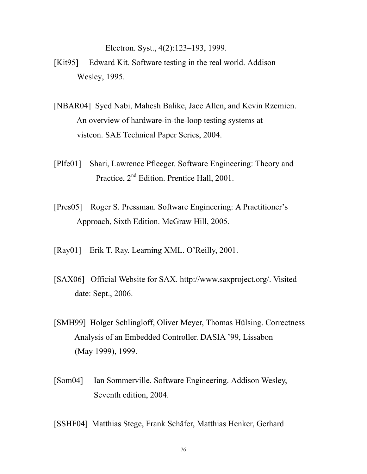Electron. Syst., 4(2):123–193, 1999.

- [Kit95] Edward Kit. Software testing in the real world. Addison Wesley, 1995.
- [NBAR04] Syed Nabi, Mahesh Balike, Jace Allen, and Kevin Rzemien. An overview of hardware-in-the-loop testing systems at visteon. SAE Technical Paper Series, 2004.
- [Plfe01] Shari, Lawrence Pfleeger. Software Engineering: Theory and Practice, 2<sup>nd</sup> Edition. Prentice Hall, 2001.
- [Pres05] Roger S. Pressman. Software Engineering: A Practitioner's Approach, Sixth Edition. McGraw Hill, 2005.
- [Ray01] Erik T. Ray. Learning XML. O'Reilly, 2001.
- [SAX06] Official Website for SAX. http://www.saxproject.org/. Visited date: Sept., 2006.
- [SMH99] Holger Schlingloff, Oliver Meyer, Thomas Hülsing. Correctness Analysis of an Embedded Controller. DASIA '99, Lissabon (May 1999), 1999.
- [Som04] Ian Sommerville. Software Engineering. Addison Wesley, Seventh edition, 2004.
- [SSHF04] Matthias Stege, Frank Schäfer, Matthias Henker, Gerhard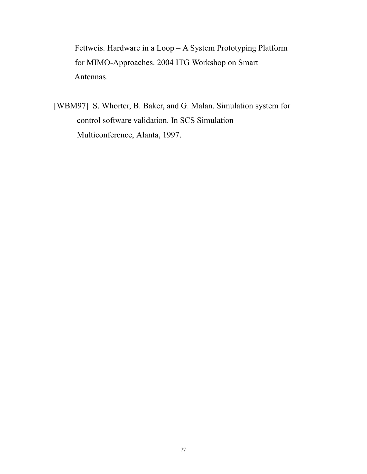Fettweis. Hardware in a Loop – A System Prototyping Platform for MIMO-Approaches. 2004 ITG Workshop on Smart Antennas.

[WBM97] S. Whorter, B. Baker, and G. Malan. Simulation system for control software validation. In SCS Simulation Multiconference, Alanta, 1997.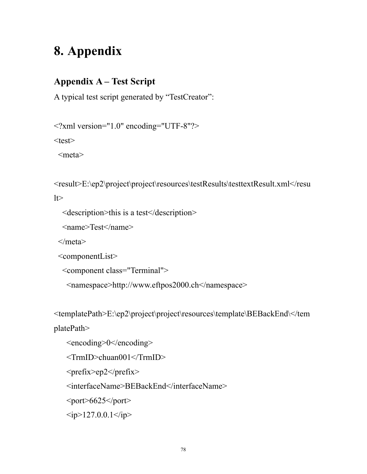# **8. Appendix**

### **Appendix A – Test Script**

A typical test script generated by "TestCreator":

```
<?xml version="1.0" encoding="UTF-8"?>
```
 $<$ test $>$ 

<meta>

```
<result>E:\ep2\project\project\resources\testResults\testtextResult.xml</resu
|t\rangle
```

```
 <description>this is a test</description>
```

```
 <name>Test</name>
```
</meta>

```
 <componentList>
```

```
 <component class="Terminal">
```

```
 <namespace>http://www.eftpos2000.ch</namespace>
```

```
<templatePath>E:\ep2\project\project\resources\template\BEBackEnd\</tem
```
platePath>

```
 <encoding>0</encoding>
```

```
 <TrmID>chuan001</TrmID>
```
 $\langle prefix>ep2 \langle prefix>$ 

<interfaceName>BEBackEnd</interfaceName>

 $\text{opt}>6625\text{$ 

 $\langle ip>127.0.0.1\langle ip>$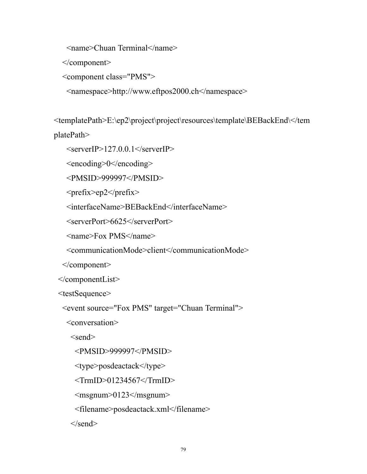<name>Chuan Terminal</name>

</component>

```
 <component class="PMS">
```

```
 <namespace>http://www.eftpos2000.ch</namespace>
```
<templatePath>E:\ep2\project\project\resources\template\BEBackEnd\</tem platePath>

```
\leqserverIP>127.0.0.1\leq/serverIP>
```
<encoding>0</encoding>

<PMSID>999997</PMSID>

<prefix>ep2</prefix>

<interfaceName>BEBackEnd</interfaceName>

<serverPort>6625</serverPort>

<name>Fox PMS</name>

<communicationMode>client</communicationMode>

</component>

</componentList>

<testSequence>

<event source="Fox PMS" target="Chuan Terminal">

<conversation>

 $\le$ send $\ge$ 

<PMSID>999997</PMSID>

<type>posdeactack</type>

 $\leq$ TrmID $>$ 01234567 $\leq$ /TrmID $>$ 

 $\leq$ msgnum $>$ 0123 $\leq$ /msgnum $>$ 

<filename>posdeactack.xml</filename>

 $\le$ /send $>$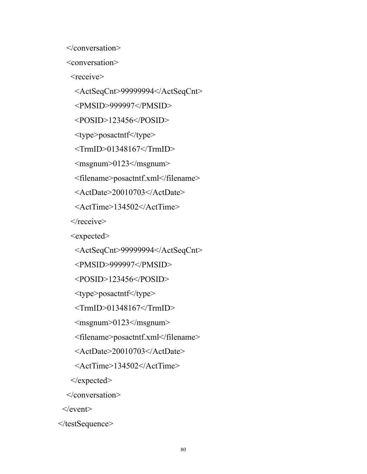</conversation>

<conversation>

<receive>

<ActSeqCnt>99999994</ActSeqCnt>

<PMSID>999997</PMSID>

<POSID>123456</POSID>

<type>posactntf</type>

 $\leq$ TrmID $>$ 01348167 $\leq$ /TrmID $>$ 

<msgnum>0123</msgnum>

<filename>posactntf.xml</filename>

<ActDate>20010703</ActDate>

<ActTime>134502</ActTime>

 $\langle$ receive $\rangle$ 

<expected>

<ActSeqCnt>99999994</ActSeqCnt>

<PMSID>999997</PMSID>

<POSID>123456</POSID>

<type>posactntf</type>

 $\le$ TrmID>01348167 $\le$ /TrmID>

 $\leq$ msgnum $>$ 0123 $\leq$ /msgnum $>$ 

<filename>posactntf.xml</filename>

<ActDate>20010703</ActDate>

<ActTime>134502</ActTime>

</expected>

</conversation>

 $\le$ /event $>$ 

</testSequence>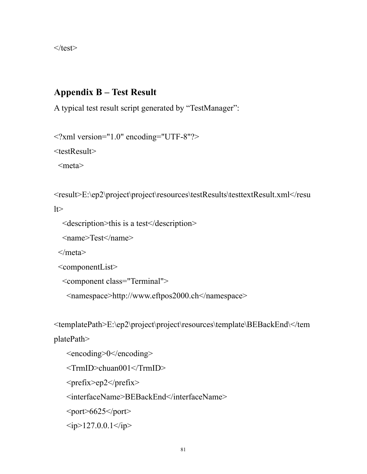$\langle$ test $\rangle$ 

#### **Appendix B – Test Result**

A typical test result script generated by "TestManager":

```
<?xml version="1.0" encoding="UTF-8"?>
```
<testResult>

<meta>

```
<result>E:\ep2\project\project\resources\testResults\testtextResult.xml</resu
```
 $lt$ 

```
 <description>this is a test</description>
```

```
 <name>Test</name>
```
</meta>

```
 <componentList>
```

```
 <component class="Terminal">
```

```
 <namespace>http://www.eftpos2000.ch</namespace>
```
<templatePath>E:\ep2\project\project\resources\template\BEBackEnd\</tem

platePath>

```
 <encoding>0</encoding>
```
<TrmID>chuan001</TrmID>

<prefix>ep2</prefix>

<interfaceName>BEBackEnd</interfaceName>

 $\text{opt}>6625\text{$ 

 $\langle ip>127.0.0.1\langle ip>$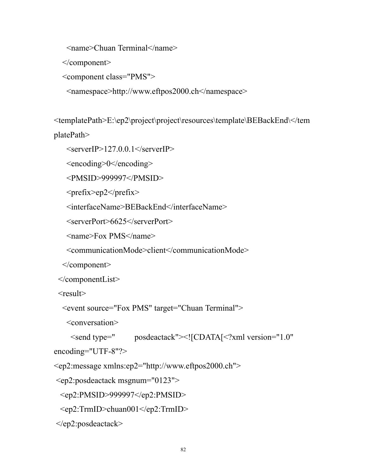<name>Chuan Terminal</name>

</component>

```
 <component class="PMS">
```

```
 <namespace>http://www.eftpos2000.ch</namespace>
```
<templatePath>E:\ep2\project\project\resources\template\BEBackEnd\</tem platePath>

```
\leqserverIP>127.0.0.1\leq/serverIP>
```
<encoding>0</encoding>

<PMSID>999997</PMSID>

<prefix>ep2</prefix>

<interfaceName>BEBackEnd</interfaceName>

<serverPort>6625</serverPort>

<name>Fox PMS</name>

<communicationMode>client</communicationMode>

</component>

```
 </componentList>
```
 $<$ result $>$ 

```
 <event source="Fox PMS" target="Chuan Terminal">
```
<conversation>

```
 <send type=" posdeactack"><![CDATA[<?xml version="1.0"
encoding="UTF-8"?>
```
<ep2:message xmlns:ep2="http://www.eftpos2000.ch">

```
 <ep2:posdeactack msgnum="0123">
```
<ep2:PMSID>999997</ep2:PMSID>

<ep2:TrmID>chuan001</ep2:TrmID>

</ep2:posdeactack>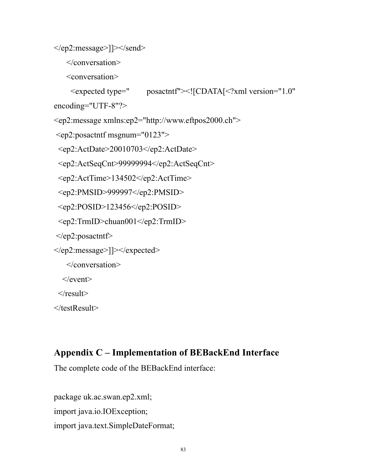```
\le/ep2:message>]]>\le/send>
```

```
 </conversation>
```
<conversation>

```
 <expected type=" posactntf"><![CDATA[<?xml version="1.0"
```
encoding="UTF-8"?>

```
<ep2:message xmlns:ep2="http://www.eftpos2000.ch">
```

```
 <ep2:posactntf msgnum="0123">
```

```
 <ep2:ActDate>20010703</ep2:ActDate>
```

```
 <ep2:ActSeqCnt>99999994</ep2:ActSeqCnt>
```

```
 <ep2:ActTime>134502</ep2:ActTime>
```

```
 <ep2:PMSID>999997</ep2:PMSID>
```

```
\leqep2:POSID>123456\leqep2:POSID>
```

```
 <ep2:TrmID>chuan001</ep2:TrmID>
```

```
 </ep2:posactntf>
```

```
</ep2:message>]]></expected>
```

```
 </conversation>
```
 $\le$ /event $>$ 

 $\langle$ result $\rangle$ 

</testResult>

### **Appendix C – Implementation of BEBackEnd Interface**

The complete code of the BEBackEnd interface:

package uk.ac.swan.ep2.xml; import java.io.IOException; import java.text.SimpleDateFormat;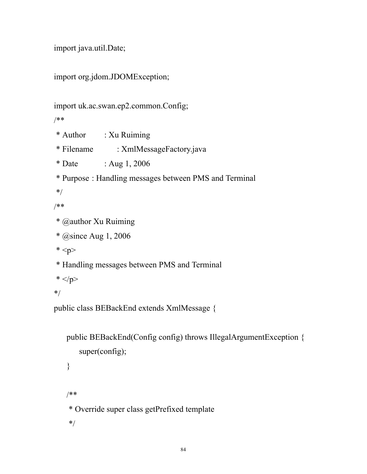```
import java.util.Date;
```

```
import org.jdom.JDOMException;
```

```
import uk.ac.swan.ep2.common.Config;
```
/\*\*

- \* Author : Xu Ruiming
- \* Filename : XmlMessageFactory.java
- \* Date : Aug 1, 2006
- \* Purpose : Handling messages between PMS and Terminal

\*/

```
/**
```
\* @author Xu Ruiming

```
 * @since Aug 1, 2006
```

```
* <p>
```
\* Handling messages between PMS and Terminal

```
* </p>
```
\*/

public class BEBackEnd extends XmlMessage {

```
public BEBackEnd(Config config) throws IllegalArgumentException {
   super(config);
}
/**
 * Override super class getPrefixed template
 */
```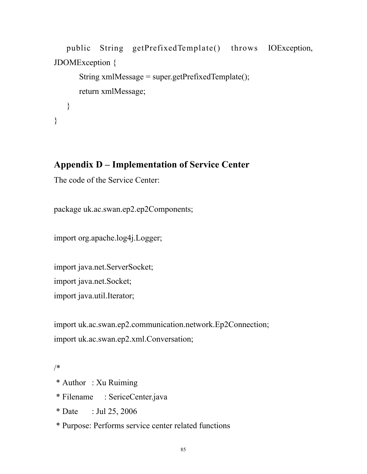```
public String getPrefixedTemplate() throws IOException,
JDOMException {
      String xmlMessage = super.getPrefixedTemplate();
      return xmlMessage;
   }
}
```
#### **Appendix D – Implementation of Service Center**

The code of the Service Center:

package uk.ac.swan.ep2.ep2Components;

import org.apache.log4j.Logger;

import java.net.ServerSocket; import java.net.Socket; import java.util.Iterator;

import uk.ac.swan.ep2.communication.network.Ep2Connection; import uk.ac.swan.ep2.xml.Conversation;

#### /\*

- \* Author : Xu Ruiming
- \* Filename : SericeCenter.java
- \* Date : Jul 25, 2006
- \* Purpose: Performs service center related functions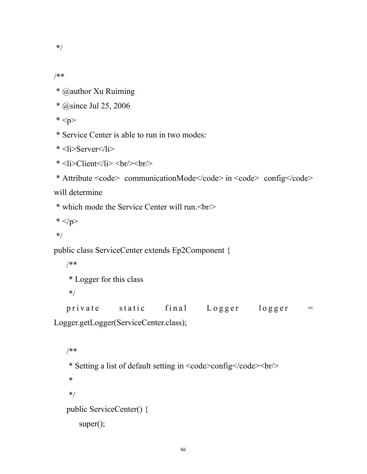\*/

/\*\*

- \* @author Xu Ruiming
- \* @since Jul 25, 2006
- $*$
- \* Service Center is able to run in two modes:
- \* <li>Server</li>
- $*$  <li>Client</li> <br/> <br/> <br/> <br/> <br/> <low>

```
* Attribute <code> communicationMode</code> in <code> config</code>
```
will determine

```
 * which mode the Service Center will run.<br/>
```

```
* </p>
```
\*/

```
public class ServiceCenter extends Ep2Component {
```

```
/**
```

```
 * Logger for this class
```

```
 */
```
private static final Logger logger =

Logger.getLogger(ServiceCenter.class);

```
/**
 * Setting a list of default setting in <code>config</code><br/>
 *
 */
public ServiceCenter() {
   super();
```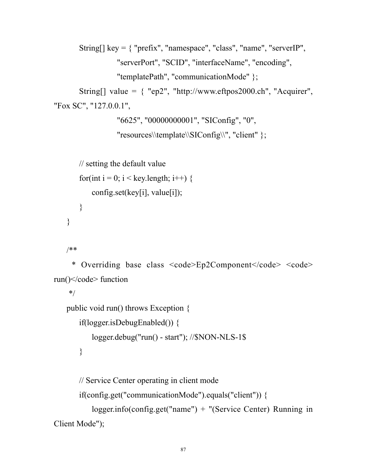```
String[] key = { "prefix", "namespace", "class", "name", "serverIP",
                 "serverPort", "SCID", "interfaceName", "encoding",
                 "templatePath", "communicationMode" };
       String[] value = \{ "ep2", "http://www.eftpos2000.ch", "Acquirer",
"Fox SC", "127.0.0.1",
                  "6625", "00000000001", "SIConfig", "0",
```

```
"resources\\template\\SIConfig\\", "client" };
```

```
// setting the default value
   for(int i = 0; i < key.length; i++) {
       config.set(key[i], value[i]);}
}
```
/\*\*

```
* Overriding base class <code>Ep2Component</code> <code>
run(\le/code> function
```
\*/

```
public void run() throws Exception {
```

```
if(logger.isDebugEnabled()) {
```

```
logger.debug("run() - start"); //$NON-NLS-1$
```

```
}
```
// Service Center operating in client mode

if(config.get("communicationMode").equals("client")) {

```
logger.info(config.get("name") + "(Service Center) Running in
Client Mode");
```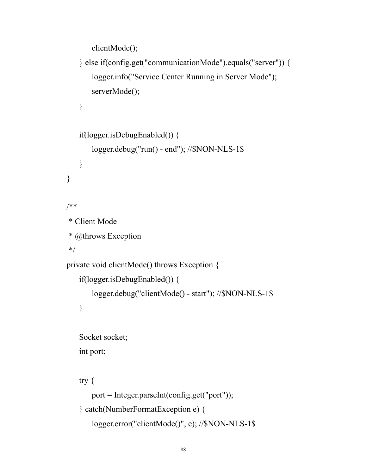```
clientMode();
```

```
} else if(config.get("communicationMode").equals("server")) {
       logger.info("Service Center Running in Server Mode");
       serverMode();
   }
   if(logger.isDebugEnabled()) {
       logger.debug("run() - end"); //$NON-NLS-1$
   }
/**
 * Client Mode
 * @throws Exception
 */
private void clientMode() throws Exception {
   if(logger.isDebugEnabled()) {
       logger.debug("clientMode() - start"); //$NON-NLS-1$
   }
```
Socket socket; int port;

```
try {
```
}

```
port = Integer.parseInt(config.get("port"));
} catch(NumberFormatException e) {
   logger.error("clientMode()", e); //$NON-NLS-1$
```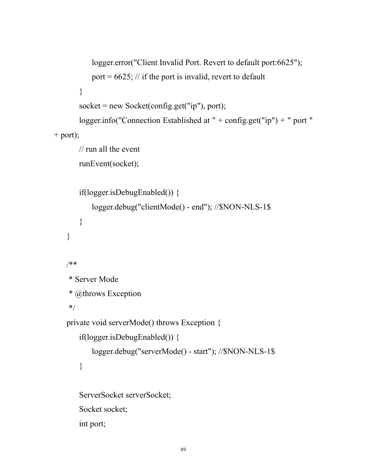```
logger.error("Client Invalid Port. Revert to default port:6625");
           port = 6625; // if the port is invalid, revert to default
       }
       socket = new Sockets(config.get("ip"), port);logger.info("Connection Established at " + config.get("ip") + " port "
+ port);
       // run all the event
       runEvent(socket);
       if(logger.isDebugEnabled()) {
           logger.debug("clientMode() - end"); //$NON-NLS-1$
       }
    }
   /**
     * Server Mode
     * @throws Exception
     */
   private void serverMode() throws Exception {
       if(logger.isDebugEnabled()) {
           logger.debug("serverMode() - start"); //$NON-NLS-1$
       }
       ServerSocket serverSocket;
       Socket socket;
       int port;
```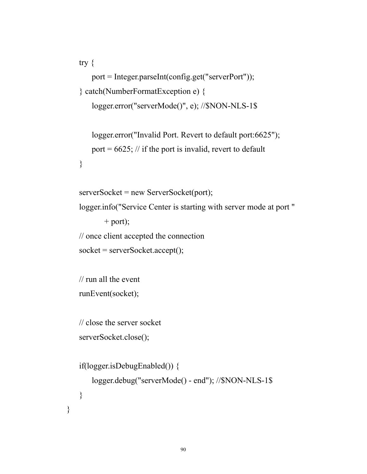```
try {
   port = Integer.parseInt(config.get("serverPort"));
} catch(NumberFormatException e) {
   logger.error("serverMode()", e); //$NON-NLS-1$
```

```
logger.error("Invalid Port. Revert to default port:6625");
port = 6625; // if the port is invalid, revert to default
```

```
}
```
}

```
serverSocket = new ServerSocket(port);
logger.info("Service Center is starting with server mode at port "
       + port);
// once client accepted the connection
socket = serverSocketi.accept();
```

```
// run all the event
runEvent(socket);
```
// close the server socket serverSocket.close();

```
if(logger.isDebugEnabled()) {
   logger.debug("serverMode() - end"); //$NON-NLS-1$
}
```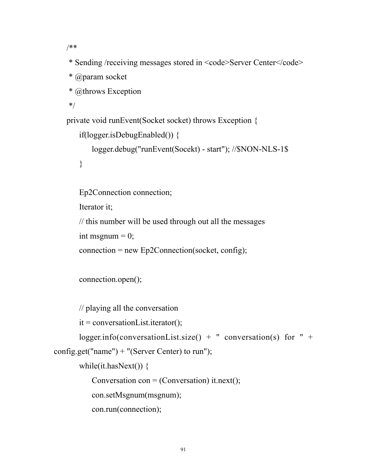/\*\*

- \* Sending /receiving messages stored in  $\leq$ code>Server Center $\leq$ /code>
- \* @param socket
- \* @throws Exception

\*/

```
private void runEvent(Socket socket) throws Exception {
```

```
if(logger.isDebugEnabled()) {
```

```
logger.debug("runEvent(Socekt) - start"); //$NON-NLS-1$
```

```
}
```
Ep2Connection connection;

Iterator it;

// this number will be used through out all the messages

```
int msgnum = 0;
```

```
connection = new Ep2Connection(sockets, config);
```

```
connection.open();
```

```
// playing all the conversation
```

```
it = conversionList.iterator();
```

```
logger.info(conversationList.size() + " conversation(s) for " +
config.get("name") + "(Server Center) to run");
```

```
while(it.hasNext()) {
```
Conversation  $con = (Conversion)$  it.next();

con.setMsgnum(msgnum);

```
con.run(connection);
```